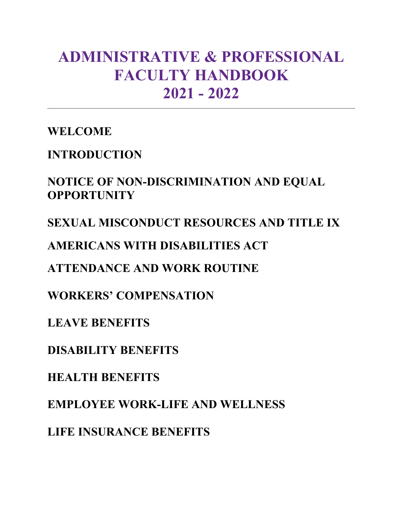# **ADMINISTRATIVE & PROFESSIONAL FACULTY HANDBOOK 2021 - 2022**

**WELCOME**

**INTRODUCTION**

**NOTICE OF NON-DISCRIMINATION AND EQUAL OPPORTUNITY**

**SEXUAL MISCONDUCT RESOURCES AND TITLE IX**

**AMERICANS WITH DISABILITIES ACT**

**ATTENDANCE AND WORK ROUTINE**

**WORKERS' COMPENSATION**

**LEAVE BENEFITS**

**DISABILITY BENEFITS** 

**HEALTH BENEFITS**

**EMPLOYEE WORK-LIFE AND WELLNESS**

**LIFE INSURANCE BENEFITS**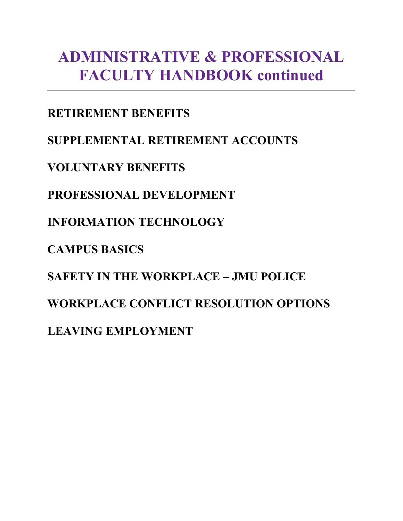# **ADMINISTRATIVE & PROFESSIONAL FACULTY HANDBOOK continued**

**RETIREMENT BENEFITS** 

**SUPPLEMENTAL RETIREMENT ACCOUNTS**

**VOLUNTARY BENEFITS**

**PROFESSIONAL DEVELOPMENT**

**INFORMATION TECHNOLOGY**

**CAMPUS BASICS** 

**SAFETY IN THE WORKPLACE – JMU POLICE** 

**WORKPLACE CONFLICT RESOLUTION OPTIONS**

**LEAVING EMPLOYMENT**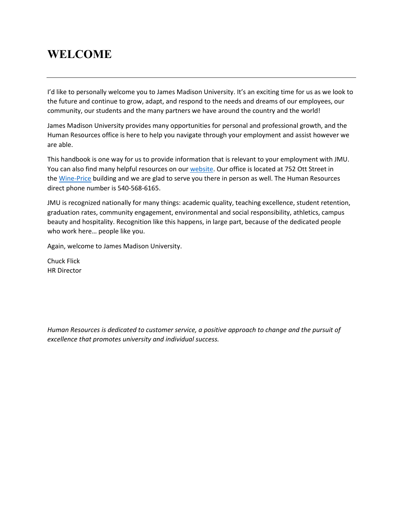# **WELCOME**

I'd like to personally welcome you to James Madison University. It's an exciting time for us as we look to the future and continue to grow, adapt, and respond to the needs and dreams of our employees, our community, our students and the many partners we have around the country and the world!

James Madison University provides many opportunities for personal and professional growth, and the Human Resources office is here to help you navigate through your employment and assist however we are able.

This handbook is one way for us to provide information that is relevant to your employment with JMU. You can also find many helpful resources on our [website.](http://www.jmu.edu/humanresources/) Our office is located at 752 Ott Street in the [Wine-Price](http://www.jmu.edu/map/regions/north-campus.shtml) building and we are glad to serve you there in person as well. The Human Resources direct phone number is 540-568-6165.

JMU is recognized nationally for many things: academic quality, teaching excellence, student retention, graduation rates, community engagement, environmental and social responsibility, athletics, campus beauty and hospitality. Recognition like this happens, in large part, because of the dedicated people who work here… people like you.

Again, welcome to James Madison University.

Chuck Flick HR Director

*Human Resources is dedicated to customer service, a positive approach to change and the pursuit of excellence that promotes university and individual success.*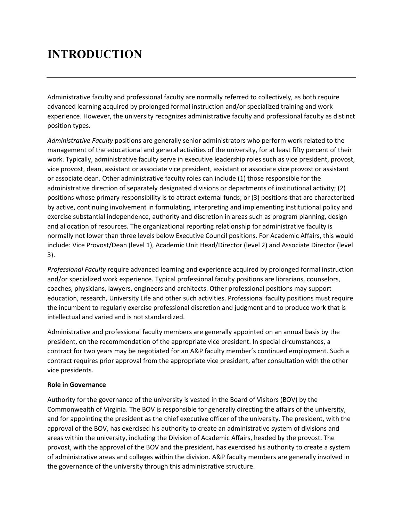# **INTRODUCTION**

Administrative faculty and professional faculty are normally referred to collectively, as both require advanced learning acquired by prolonged formal instruction and/or specialized training and work experience. However, the university recognizes administrative faculty and professional faculty as distinct position types.

*Administrative Faculty* positions are generally senior administrators who perform work related to the management of the educational and general activities of the university, for at least fifty percent of their work. Typically, administrative faculty serve in executive leadership roles such as vice president, provost, vice provost, dean, assistant or associate vice president, assistant or associate vice provost or assistant or associate dean. Other administrative faculty roles can include (1) those responsible for the administrative direction of separately designated divisions or departments of institutional activity; (2) positions whose primary responsibility is to attract external funds; or (3) positions that are characterized by active, continuing involvement in formulating, interpreting and implementing institutional policy and exercise substantial independence, authority and discretion in areas such as program planning, design and allocation of resources. The organizational reporting relationship for administrative faculty is normally not lower than three levels below Executive Council positions. For Academic Affairs, this would include: Vice Provost/Dean (level 1), Academic Unit Head/Director (level 2) and Associate Director (level 3).

*Professional Faculty* require advanced learning and experience acquired by prolonged formal instruction and/or specialized work experience. Typical professional faculty positions are librarians, counselors, coaches, physicians, lawyers, engineers and architects. Other professional positions may support education, research, University Life and other such activities. Professional faculty positions must require the incumbent to regularly exercise professional discretion and judgment and to produce work that is intellectual and varied and is not standardized.

Administrative and professional faculty members are generally appointed on an annual basis by the president, on the recommendation of the appropriate vice president. In special circumstances, a contract for two years may be negotiated for an A&P faculty member's continued employment. Such a contract requires prior approval from the appropriate vice president, after consultation with the other vice presidents.

### **Role in Governance**

Authority for the governance of the university is vested in the Board of Visitors (BOV) by the Commonwealth of Virginia. The BOV is responsible for generally directing the affairs of the university, and for appointing the president as the chief executive officer of the university. The president, with the approval of the BOV, has exercised his authority to create an administrative system of divisions and areas within the university, including the Division of Academic Affairs, headed by the provost. The provost, with the approval of the BOV and the president, has exercised his authority to create a system of administrative areas and colleges within the division. A&P faculty members are generally involved in the governance of the university through this administrative structure.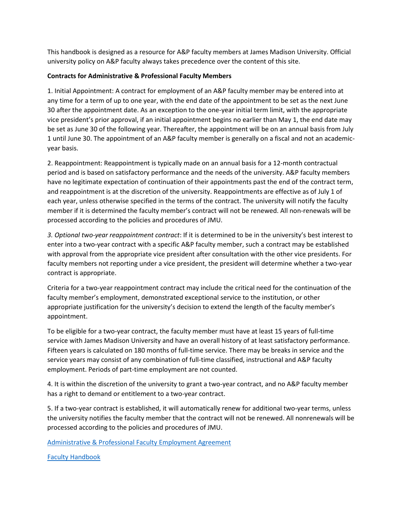This handbook is designed as a resource for A&P faculty members at James Madison University. Official university policy on A&P faculty always takes precedence over the content of this site.

#### **Contracts for Administrative & Professional Faculty Members**

1. Initial Appointment: A contract for employment of an A&P faculty member may be entered into at any time for a term of up to one year, with the end date of the appointment to be set as the next June 30 after the appointment date. As an exception to the one-year initial term limit, with the appropriate vice president's prior approval, if an initial appointment begins no earlier than May 1, the end date may be set as June 30 of the following year. Thereafter, the appointment will be on an annual basis from July 1 until June 30. The appointment of an A&P faculty member is generally on a fiscal and not an academicyear basis.

2. Reappointment: Reappointment is typically made on an annual basis for a 12-month contractual period and is based on satisfactory performance and the needs of the university. A&P faculty members have no legitimate expectation of continuation of their appointments past the end of the contract term, and reappointment is at the discretion of the university. Reappointments are effective as of July 1 of each year, unless otherwise specified in the terms of the contract. The university will notify the faculty member if it is determined the faculty member's contract will not be renewed. All non-renewals will be processed according to the policies and procedures of JMU.

*3. Optional two-year reappointment contract*: If it is determined to be in the university's best interest to enter into a two-year contract with a specific A&P faculty member, such a contract may be established with approval from the appropriate vice president after consultation with the other vice presidents. For faculty members not reporting under a vice president, the president will determine whether a two-year contract is appropriate.

Criteria for a two-year reappointment contract may include the critical need for the continuation of the faculty member's employment, demonstrated exceptional service to the institution, or other appropriate justification for the university's decision to extend the length of the faculty member's appointment.

To be eligible for a two-year contract, the faculty member must have at least 15 years of full-time service with James Madison University and have an overall history of at least satisfactory performance. Fifteen years is calculated on 180 months of full-time service. There may be breaks in service and the service years may consist of any combination of full-time classified, instructional and A&P faculty employment. Periods of part-time employment are not counted.

4. It is within the discretion of the university to grant a two-year contract, and no A&P faculty member has a right to demand or entitlement to a two-year contract.

5. If a two-year contract is established, it will automatically renew for additional two-year terms, unless the university notifies the faculty member that the contract will not be renewed. All nonrenewals will be processed according to the policies and procedures of JMU.

[Administrative & Professional Faculty Employment Agreement](https://www.jmu.edu/humanresources/_files/contract-ap.doc)

[Faculty Handbook](http://www.jmu.edu/facultysenate/facultyhandbook/index.shtml)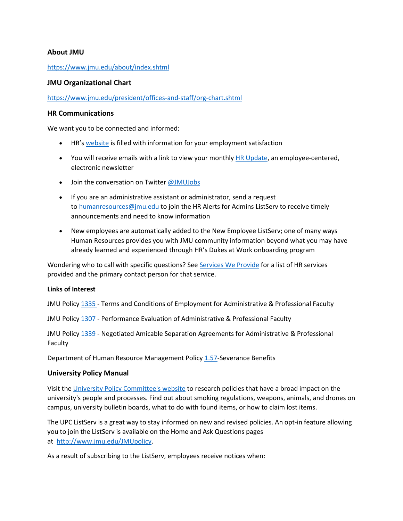#### **About JMU**

#### <https://www.jmu.edu/about/index.shtml>

#### **JMU Organizational Chart**

<https://www.jmu.edu/president/offices-and-staff/org-chart.shtml>

#### **HR Communications**

We want you to be connected and informed:

- HR's [website](http://www.jmu.edu/humanresources/) is filled with information for your employment satisfaction
- You will receive emails with a link to view your monthly [HR Update,](http://www.jmu.edu/humanresources/cpc/hr-horizons-update/index.shtml) an employee-centered, electronic newsletter
- Join the conversation on Twitter [@JMUJobs](https://twitter.com/jmujobs)
- If you are an administrative assistant or administrator, send a request to [humanresources@jmu.edu](mailto:humanresources@jmu.edu) to join the HR Alerts for Admins ListServ to receive timely announcements and need to know information
- New employees are automatically added to the New Employee ListServ; one of many ways Human Resources provides you with JMU community information beyond what you may have already learned and experienced through HR's Dukes at Work onboarding program

Wondering who to call with specific questions? See [Services We Provide](http://www.jmu.edu/humanresources/services.shtml) for a list of HR services provided and the primary contact person for that service.

#### **Links of Interest**

JMU Policy [1335](https://www.jmu.edu/JMUpolicy/policies/1335.shtml) - Terms and Conditions of Employment for Administrative & Professional Faculty

JMU Policy [1307](https://www.jmu.edu/JMUpolicy/policies/1307.shtml) - Performance Evaluation of Administrative & Professional Faculty

JMU Policy [1339](https://www.jmu.edu/JMUpolicy/policies/1339.shtml) - Negotiated Amicable Separation Agreements for Administrative & Professional Faculty

Department of Human Resource Management Policy [1.57-](http://web1.dhrm.virginia.gov/itech/hrpolicy/pol1_57.html)Severance Benefits

#### **University Policy Manual**

Visit the [University Policy Committee's website](http://www.jmu.edu/JMUpolicy/index.shtml) to research policies that have a broad impact on the university's people and processes. Find out about smoking regulations, weapons, animals, and drones on campus, university bulletin boards, what to do with found items, or how to claim lost items.

The UPC ListServ is a great way to stay informed on new and revised policies. An opt-in feature allowing you to join the ListServ is available on the Home and Ask Questions pages at [http://www.jmu.edu/JMUpolicy.](http://www.jmu.edu/JMUpolicy)

As a result of subscribing to the ListServ, employees receive notices when: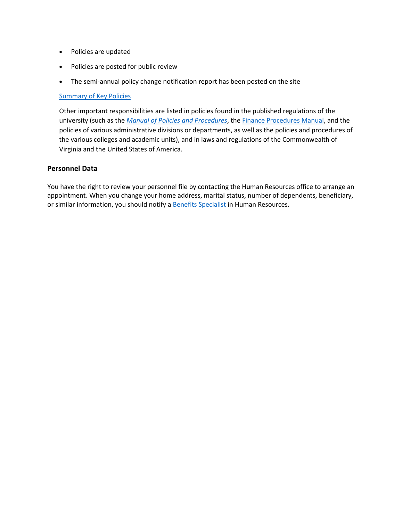- Policies are updated
- Policies are posted for public review
- The semi-annual policy change notification report has been posted on the site

#### [Summary of Key Policies](https://www.jmu.edu/humanresources/_files/policy-summary-acknowledgement.pdf)

Other important responsibilities are listed in policies found in the published regulations of the university (such as the *[Manual of Policies and Procedures](http://www.jmu.edu/JMUpolicy/)*, the [Finance Procedures Manual,](http://www.jmu.edu/financemanual/index.shtml) and the policies of various administrative divisions or departments, as well as the policies and procedures of the various colleges and academic units), and in laws and regulations of the Commonwealth of Virginia and the United States of America.

#### **Personnel Data**

You have the right to review your personnel file by contacting the Human Resources office to arrange an appointment. When you change your home address, marital status, number of dependents, beneficiary, or similar information, you should notify [a Benefits Specialist](https://www.jmu.edu/humanresources/benefits/index.shtml) in Human Resources.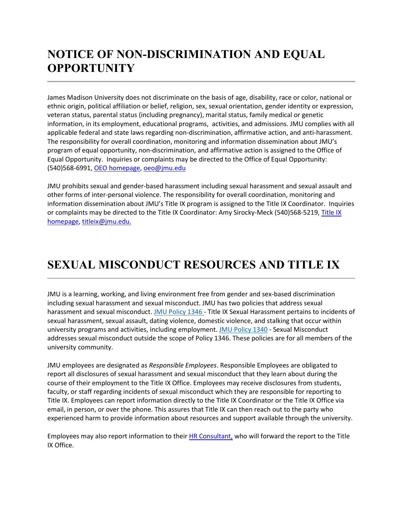# **NOTICE OF NON-DISCRIMINATION AND EQUAL OPPORTUNITY**

James Madison University does not discriminate on the basis of age, disability, race or color, national or ethnic origin, political affiliation or belief, religion, sex, sexual orientation, gender identity or expression, veteran status, parental status (including pregnancy), marital status, family medical or genetic information, in its employment, educational programs, activities, and admissions. JMU complies with all applicable federal and state laws regarding non-discrimination, affirmative action, and anti-harassment. The responsibility for overall coordination, monitoring and information dissemination about JMU's program of equal opportunity, non-discrimination, and affirmative action is assigned to the Office of Equal Opportunity. Inquiries or complaints may be directed to the Office of Equal Opportunity: (540)568-6991, [OEO homepage,](https://www.jmu.edu/oeo/index.shtml) [oeo@jmu.edu](mailto:oeo@jmu.edu)

JMU prohibits sexual and gender-based harassment including sexual harassment and sexual assault and other forms of inter-personal violence. The responsibility for overall coordination, monitoring and information dissemination about JMU's Title IX program is assigned to the Title IX Coordinator. Inquiries or complaints may be directed to the [Title IX](https://www.jmu.edu/access-and-enrollment/titleIX/index.shtml) Coordinator: Amy Sirocky-Meck (540)568-5219, Title IX [homepage,](https://www.jmu.edu/access-and-enrollment/titleIX/index.shtml) [titleix@jmu.edu.](mailto:titleix@jmu.edu)

# **SEXUAL MISCONDUCT RESOURCES AND TITLE IX**

JMU is a learning, working, and living environment free from gender and sex-based discrimination including sexual harassment and sexual misconduct. JMU has two policies that address sexual harassment and sexual misconduct. [JMU Policy 1346](https://www.jmu.edu/JMUpolicy/policies/1346.shtml) - Title IX Sexual Harassment pertains to incidents of sexual harassment, sexual assault, dating violence, domestic violence, and stalking that occur within university programs and activities, including employment. [JMU Policy 1340](https://www.jmu.edu/JMUpolicy/policies/1340.shtml) - Sexual Misconduct addresses sexual misconduct outside the scope of Policy 1346. These policies are for all members of the university community.

JMU employees are designated as *Responsible Employees*. Responsible Employees are obligated to report all disclosures of sexual harassment and sexual misconduct that they learn about during the course of their employment to the Title IX Office. Employees may receive disclosures from students, faculty, or staff regarding incidents of sexual misconduct which they are responsible for reporting to Title IX. Employees can report information directly to the Title IX Coordinator or the Title IX Office via email, in person, or over the phone. This assures that Title IX can then reach out to the party who experienced harm to provide information about resources and support available through the university.

Employees may also report information to their [HR Consultant,](http://www.jmu.edu/humanresources/hrc/index.shtml) who will forward the report to the Title IX Office.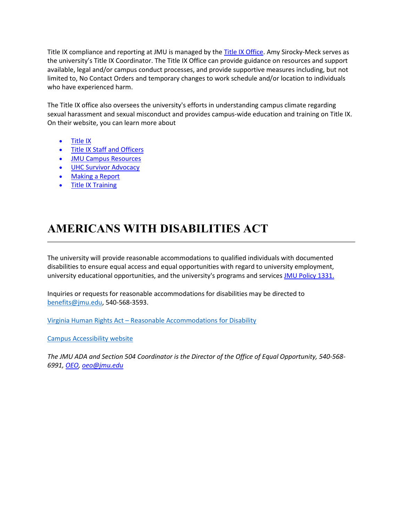Title IX compliance and reporting at JMU is managed by the [Title IX Office.](http://www.jmu.edu/access-and-enrollment/titleIX/index.shtml) Amy Sirocky-Meck serves as the university's Title IX Coordinator. The Title IX Office can provide guidance on resources and support available, legal and/or campus conduct processes, and provide supportive measures including, but not limited to, No Contact Orders and temporary changes to work schedule and/or location to individuals who have experienced harm.

The Title IX office also oversees the university's efforts in understanding campus climate regarding sexual harassment and sexual misconduct and provides campus-wide education and training on Title IX. On their website, you can learn more about

- [Title IX](http://www.jmu.edu/access-and-enrollment/titleIX/index.shtml)
- [Title IX Staff and Officers](https://www.jmu.edu/access-and-enrollment/titleIX/profile-titleix-officers.shtml)
- [JMU Campus Resources](http://www.jmu.edu/access-and-enrollment/titleIX/resources/index.shtml)
- [UHC Survivor Advocacy](https://www.jmu.edu/healthcenter/survivor-advocacy/Resources.shtml)
- Making a Report
- [Title IX Training](https://www.jmu.edu/access-and-enrollment/titleIX/training-and-classes/training.shtml)

# **AMERICANS WITH DISABILITIES ACT**

The university will provide reasonable accommodations to qualified individuals with documented disabilities to ensure equal access and equal opportunities with regard to university employment, university educational opportunities, and the university's programs and services [JMU Policy 1331.](http://www.jmu.edu/JMUpolicy/1331.shtml)

Inquiries or requests for reasonable accommodations for disabilities may be directed to [benefits@jmu.edu,](mailto:benefits@jmu.edu) 540-568-3593.

Virginia Human Rights Act – [Reasonable Accommodations for Disability](https://www.oag.state.va.us/files/OCR/OUTREACH_) 

[Campus Accessibility website](https://www.jmu.edu/accessibility/index.shtml) 

*The JMU ADA and Section 504 Coordinator is the Director of the Office of Equal Opportunity, 540-568- 6991, [OEO,](http://www.jmu.edu/oeo/index.shtml) [oeo@jmu.edu](mailto:oeo@jmu.edu)*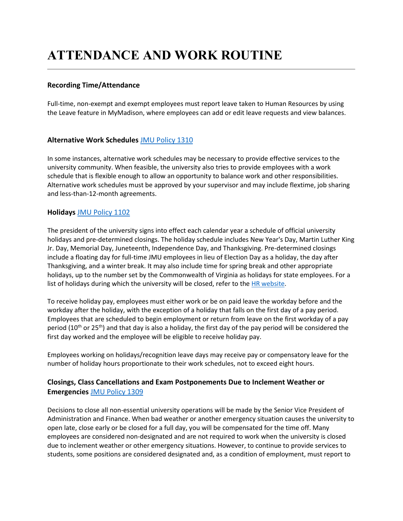# **ATTENDANCE AND WORK ROUTINE**

# **Recording Time/Attendance**

Full-time, non-exempt and exempt employees must report leave taken to Human Resources by using the Leave feature in MyMadison, where employees can add or edit leave requests and view balances.

### **Alternative Work Schedules** [JMU Policy 1310](https://www.jmu.edu/JMUpolicy/1310.shtml)

In some instances, alternative work schedules may be necessary to provide effective services to the university community. When feasible, the university also tries to provide employees with a work schedule that is flexible enough to allow an opportunity to balance work and other responsibilities. Alternative work schedules must be approved by your supervisor and may include flextime, job sharing and less-than-12-month agreements.

### **Holidays** [JMU Policy 1102](https://www.jmu.edu/JMUpolicy/1102.shtml)

The president of the university signs into effect each calendar year a schedule of official university holidays and pre-determined closings. The holiday schedule includes New Year's Day, Martin Luther King Jr. Day, Memorial Day, Juneteenth, Independence Day, and Thanksgiving. Pre-determined closings include a floating day for full-time JMU employees in lieu of Election Day as a holiday, the day after Thanksgiving, and a winter break. It may also include time for spring break and other appropriate holidays, up to the number set by the Commonwealth of Virginia as holidays for state employees. For a list of holidays during which the university will be closed, refer to the [HR website.](https://www.jmu.edu/humanresources/benefits/closings-holidays/index.shtml)

To receive holiday pay, employees must either work or be on paid leave the workday before and the workday after the holiday, with the exception of a holiday that falls on the first day of a pay period. Employees that are scheduled to begin employment or return from leave on the first workday of a pay period (10<sup>th</sup> or 25<sup>th</sup>) and that day is also a holiday, the first day of the pay period will be considered the first day worked and the employee will be eligible to receive holiday pay.

Employees working on holidays/recognition leave days may receive pay or compensatory leave for the number of holiday hours proportionate to their work schedules, not to exceed eight hours.

# **Closings, Class Cancellations and Exam Postponements Due to Inclement Weather or Emergencies** [JMU Policy 1309](https://www.jmu.edu/JMUpolicy/1309.shtml)

Decisions to close all non-essential university operations will be made by the Senior Vice President of Administration and Finance. When bad weather or another emergency situation causes the university to open late, close early or be closed for a full day, you will be compensated for the time off. Many employees are considered non-designated and are not required to work when the university is closed due to inclement weather or other emergency situations. However, to continue to provide services to students, some positions are considered designated and, as a condition of employment, must report to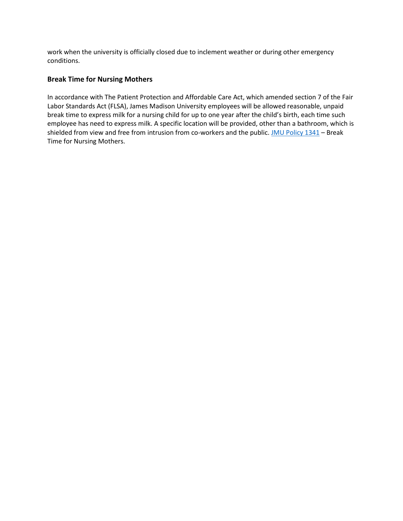work when the university is officially closed due to inclement weather or during other emergency conditions.

### **Break Time for Nursing Mothers**

In accordance with The Patient Protection and Affordable Care Act, which amended section 7 of the Fair Labor Standards Act (FLSA), James Madison University employees will be allowed reasonable, unpaid break time to express milk for a nursing child for up to one year after the child's birth, each time such employee has need to express milk. A specific location will be provided, other than a bathroom, which is shielded from view and free from intrusion from co-workers and the public. [JMU Policy 1341](https://www.jmu.edu/JMUpolicy/policies/1341.shtml) - Break Time for Nursing Mothers.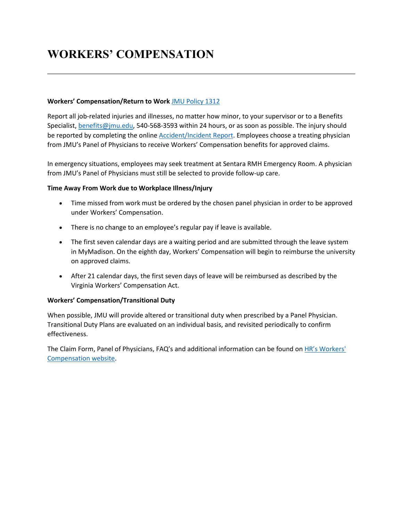# **WORKERS' COMPENSATION**

#### **Workers' Compensation/Return to Work** [JMU Policy 1312](http://www.jmu.edu/JMUpolicy/1312.shtml)

Report all job-related injuries and illnesses, no matter how minor, to your supervisor or to a Benefits Specialist, [benefits@jmu.edu,](mailto:benefits@jmu.edu) 540-568-3593 within 24 hours, or as soon as possible. The injury should be reported by completing the online [Accident/Incident Report.](https://www.jmu.edu/humanresources/benefits/workers-comp/index.shtml) Employees choose a treating physician from JMU's Panel of Physicians to receive Workers' Compensation benefits for approved claims.

In emergency situations, employees may seek treatment at Sentara RMH Emergency Room. A physician from JMU's Panel of Physicians must still be selected to provide follow-up care.

#### **Time Away From Work due to Workplace Illness/Injury**

- Time missed from work must be ordered by the chosen panel physician in order to be approved under Workers' Compensation.
- There is no change to an employee's regular pay if leave is available.
- The first seven calendar days are a waiting period and are submitted through the leave system in MyMadison. On the eighth day, Workers' Compensation will begin to reimburse the university on approved claims.
- After 21 calendar days, the first seven days of leave will be reimbursed as described by the Virginia Workers' Compensation Act.

#### **Workers' Compensation/Transitional Duty**

When possible, JMU will provide altered or transitional duty when prescribed by a Panel Physician. Transitional Duty Plans are evaluated on an individual basis, and revisited periodically to confirm effectiveness.

The Claim Form, Panel of Physicians, FAQ's and additional information can be found on [HR's Workers'](http://www.jmu.edu/humanresources/benefits/workers-comp/index.shtml)  [Compensation website.](http://www.jmu.edu/humanresources/benefits/workers-comp/index.shtml)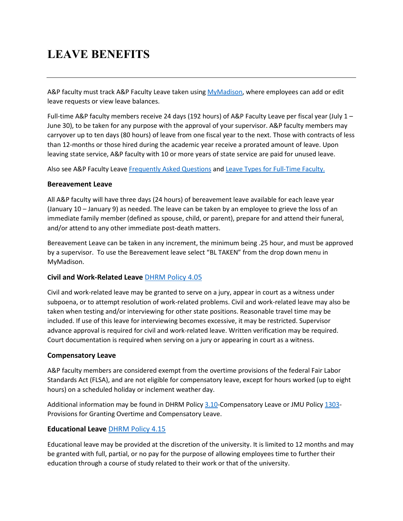# **LEAVE BENEFITS**

A&P faculty must track A&P Faculty Leave taken using [MyMadison,](https://login.jmu.edu/) where employees can add or edit leave requests or view leave balances.

Full-time A&P faculty members receive 24 days (192 hours) of A&P Faculty Leave per fiscal year (July 1 – June 30), to be taken for any purpose with the approval of your supervisor. A&P faculty members may carryover up to ten days (80 hours) of leave from one fiscal year to the next. Those with contracts of less than 12-months or those hired during the academic year receive a prorated amount of leave. Upon leaving state service, A&P faculty with 10 or more years of state service are paid for unused leave.

Also see A&P Faculty Leave [Frequently Asked Questions](https://www.jmu.edu/humanresources/benefits/leave/faculty-leave-faq.shtml) and [Leave Types for Full-Time Faculty.](https://www.jmu.edu/humanresources/benefits/leave/ft-faculty.shtml)

# **Bereavement Leave**

All A&P faculty will have three days (24 hours) of bereavement leave available for each leave year (January 10 – January 9) as needed. The leave can be taken by an employee to grieve the loss of an immediate family member (defined as spouse, child, or parent), prepare for and attend their funeral, and/or attend to any other immediate post-death matters.

Bereavement Leave can be taken in any increment, the minimum being .25 hour, and must be approved by a supervisor. To use the Bereavement leave select "BL TAKEN" from the drop down menu in MyMadison.

# **Civil and Work-Related Leave** [DHRM Policy 4.05](http://web1.dhrm.virginia.gov/itech/hrpolicy/pol4_05.html)

Civil and work-related leave may be granted to serve on a jury, appear in court as a witness under subpoena, or to attempt resolution of work-related problems. Civil and work-related leave may also be taken when testing and/or interviewing for other state positions. Reasonable travel time may be included. If use of this leave for interviewing becomes excessive, it may be restricted. Supervisor advance approval is required for civil and work-related leave. Written verification may be required. Court documentation is required when serving on a jury or appearing in court as a witness.

# **Compensatory Leave**

A&P faculty members are considered exempt from the overtime provisions of the federal Fair Labor Standards Act (FLSA), and are not eligible for compensatory leave, except for hours worked (up to eight hours) on a scheduled holiday or inclement weather day.

Additional information may be found in DHRM Policy [3.10-](http://web1.dhrm.virginia.gov/itech/hrpolicy/pol3_10.html)Compensatory Leave or JMU Policy [1303-](https://www.jmu.edu/JMUpolicy/policies/1303.shtml) Provisions for Granting Overtime and Compensatory Leave.

# **Educational Leave** [DHRM Policy 4.15](http://web1.dhrm.virginia.gov/itech/hrpolicy/pol4_15.html)

Educational leave may be provided at the discretion of the university. It is limited to 12 months and may be granted with full, partial, or no pay for the purpose of allowing employees time to further their education through a course of study related to their work or that of the university.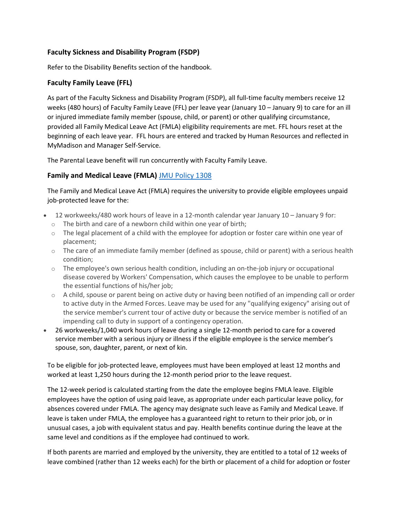# **Faculty Sickness and Disability Program (FSDP)**

Refer to the Disability Benefits section of the handbook.

### **Faculty Family Leave (FFL)**

As part of the Faculty Sickness and Disability Program (FSDP), all full-time faculty members receive 12 weeks (480 hours) of Faculty Family Leave (FFL) per leave year (January 10 – January 9) to care for an ill or injured immediate family member (spouse, child, or parent) or other qualifying circumstance, provided all Family Medical Leave Act (FMLA) eligibility requirements are met. FFL hours reset at the beginning of each leave year. FFL hours are entered and tracked by Human Resources and reflected in MyMadison and Manager Self-Service.

The Parental Leave benefit will run concurrently with Faculty Family Leave.

# **Family and Medical Leave (FMLA)** [JMU Policy 1308](http://www.jmu.edu/JMUpolicy/1308.shtml)

The Family and Medical Leave Act (FMLA) requires the university to provide eligible employees unpaid job-protected leave for the:

- 12 workweeks/480 work hours of leave in a 12-month calendar year January 10 January 9 for:
	- o The birth and care of a newborn child within one year of birth;
	- $\circ$  The legal placement of a child with the employee for adoption or foster care within one year of placement;
	- $\circ$  The care of an immediate family member (defined as spouse, child or parent) with a serious health condition;
	- $\circ$  The employee's own serious health condition, including an on-the-job injury or occupational disease covered by Workers' Compensation, which causes the employee to be unable to perform the essential functions of his/her job;
	- $\circ$  A child, spouse or parent being on active duty or having been notified of an impending call or order to active duty in the Armed Forces. Leave may be used for any "qualifying exigency" arising out of the service member's current tour of active duty or because the service member is notified of an impending call to duty in support of a contingency operation.
- 26 workweeks/1,040 work hours of leave during a single 12-month period to care for a covered service member with a serious injury or illness if the eligible employee is the service member's spouse, son, daughter, parent, or next of kin.

To be eligible for job-protected leave, employees must have been employed at least 12 months and worked at least 1,250 hours during the 12-month period prior to the leave request.

The 12-week period is calculated starting from the date the employee begins FMLA leave. Eligible employees have the option of using paid leave, as appropriate under each particular leave policy, for absences covered under FMLA. The agency may designate such leave as Family and Medical Leave. If leave is taken under FMLA, the employee has a guaranteed right to return to their prior job, or in unusual cases, a job with equivalent status and pay. Health benefits continue during the leave at the same level and conditions as if the employee had continued to work.

If both parents are married and employed by the university, they are entitled to a total of 12 weeks of leave combined (rather than 12 weeks each) for the birth or placement of a child for adoption or foster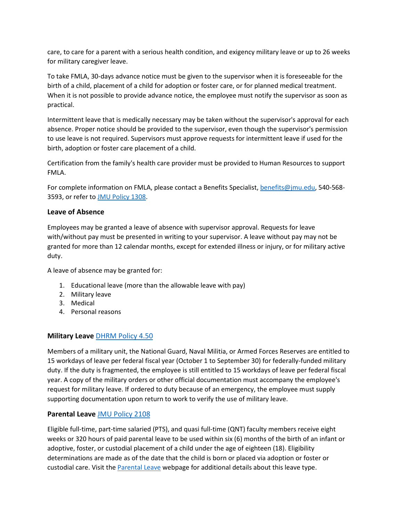care, to care for a parent with a serious health condition, and exigency military leave or up to 26 weeks for military caregiver leave.

To take FMLA, 30-days advance notice must be given to the supervisor when it is foreseeable for the birth of a child, placement of a child for adoption or foster care, or for planned medical treatment. When it is not possible to provide advance notice, the employee must notify the supervisor as soon as practical.

Intermittent leave that is medically necessary may be taken without the supervisor's approval for each absence. Proper notice should be provided to the supervisor, even though the supervisor's permission to use leave is not required. Supervisors must approve requests for intermittent leave if used for the birth, adoption or foster care placement of a child.

Certification from the family's health care provider must be provided to Human Resources to support FMLA.

For complete information on FMLA, please contact a Benefits Specialist, [benefits@jmu.edu,](mailto:benefits@jmu.edu) 540-568- 3593, or refer to [JMU Policy 1308.](http://www.jmu.edu/JMUpolicy/1308.shtml)

### **Leave of Absence**

Employees may be granted a leave of absence with supervisor approval. Requests for leave with/without pay must be presented in writing to your supervisor. A leave without pay may not be granted for more than 12 calendar months, except for extended illness or injury, or for military active duty.

A leave of absence may be granted for:

- 1. Educational leave (more than the allowable leave with pay)
- 2. Military leave
- 3. Medical
- 4. Personal reasons

### **Military Leave** DHRM [Policy 4.50](http://web1.dhrm.virginia.gov/itech/hrpolicy/pol4_50.html)

Members of a military unit, the National Guard, Naval Militia, or Armed Forces Reserves are entitled to 15 workdays of leave per federal fiscal year (October 1 to September 30) for federally-funded military duty. If the duty is fragmented, the employee is still entitled to 15 workdays of leave per federal fiscal year. A copy of the military orders or other official documentation must accompany the employee's request for military leave. If ordered to duty because of an emergency, the employee must supply supporting documentation upon return to work to verify the use of military leave.

### **Parental Leave** [JMU Policy 2108](https://www.jmu.edu/JMUpolicy/policies/2108.shtml)

Eligible full-time, part-time salaried (PTS), and quasi full-time (QNT) faculty members receive eight weeks or 320 hours of paid parental leave to be used within six (6) months of the birth of an infant or adoptive, foster, or custodial placement of a child under the age of eighteen (18). Eligibility determinations are made as of the date that the child is born or placed via adoption or foster or custodial care. Visit the [Parental Leave](http://www.jmu.edu/humanresources/benefits/leave/parental-leave.shtml) webpage for additional details about this leave type.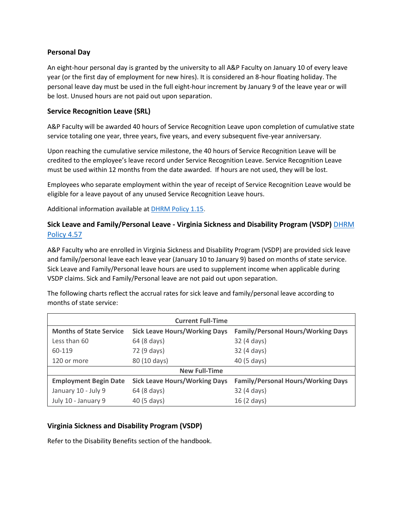### **Personal Day**

An eight-hour personal day is granted by the university to all A&P Faculty on January 10 of every leave year (or the first day of employment for new hires). It is considered an 8-hour floating holiday. The personal leave day must be used in the full eight-hour increment by January 9 of the leave year or will be lost. Unused hours are not paid out upon separation.

#### **Service Recognition Leave (SRL)**

A&P Faculty will be awarded 40 hours of Service Recognition Leave upon completion of cumulative state service totaling one year, three years, five years, and every subsequent five-year anniversary.

Upon reaching the cumulative service milestone, the 40 hours of Service Recognition Leave will be credited to the employee's leave record under Service Recognition Leave. Service Recognition Leave must be used within 12 months from the date awarded. If hours are not used, they will be lost.

Employees who separate employment within the year of receipt of Service Recognition Leave would be eligible for a leave payout of any unused Service Recognition Leave hours.

Additional information available at [DHRM Policy 1.15.](http://www.dhrm.virginia.gov/docs/default-source/hrpolicy/policy-1-15-employee-recognition-and-engagement-2-1-19.pdf?sfvrsn=0)

# **Sick Leave and Family/Personal Leave - Virginia Sickness and Disability Program (VSDP)** [DHRM](http://www.dhrm.virginia.gov/docs/default-source/hrpolicy/pol457vsdp.pdf?sfvrsn=2)  [Policy 4.57](http://www.dhrm.virginia.gov/docs/default-source/hrpolicy/pol457vsdp.pdf?sfvrsn=2)

A&P Faculty who are enrolled in Virginia Sickness and Disability Program (VSDP) are provided sick leave and family/personal leave each leave year (January 10 to January 9) based on months of state service. Sick Leave and Family/Personal leave hours are used to supplement income when applicable during VSDP claims. Sick and Family/Personal leave are not paid out upon separation.

The following charts reflect the accrual rates for sick leave and family/personal leave according to months of state service:

| <b>Current Full-Time</b>       |                                      |                                           |  |
|--------------------------------|--------------------------------------|-------------------------------------------|--|
| <b>Months of State Service</b> | <b>Sick Leave Hours/Working Days</b> | <b>Family/Personal Hours/Working Days</b> |  |
| Less than 60                   | 64 (8 days)                          | 32 (4 days)                               |  |
| 60-119                         | 72 (9 days)                          | 32 (4 days)                               |  |
| 120 or more                    | 80 (10 days)                         | 40 (5 days)                               |  |
| <b>New Full-Time</b>           |                                      |                                           |  |
| <b>Employment Begin Date</b>   | <b>Sick Leave Hours/Working Days</b> | <b>Family/Personal Hours/Working Days</b> |  |
| January 10 - July 9            | 64 (8 days)                          | 32 (4 days)                               |  |
| July 10 - January 9            | 40 (5 days)                          | 16 (2 days)                               |  |

### **Virginia Sickness and Disability Program (VSDP)**

Refer to the Disability Benefits section of the handbook.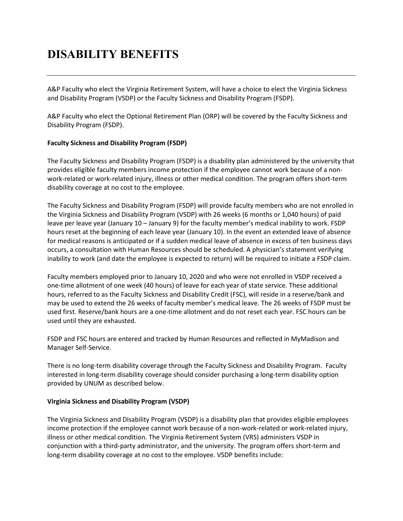# **DISABILITY BENEFITS**

A&P Faculty who elect the Virginia Retirement System, will have a choice to elect the Virginia Sickness and Disability Program (VSDP) or the Faculty Sickness and Disability Program (FSDP).

A&P Faculty who elect the Optional Retirement Plan (ORP) will be covered by the Faculty Sickness and Disability Program (FSDP).

#### **Faculty Sickness and Disability Program (FSDP)**

The Faculty Sickness and Disability Program (FSDP) is a disability plan administered by the university that provides eligible faculty members income protection if the employee cannot work because of a nonwork-related or work-related injury, illness or other medical condition. The program offers short-term disability coverage at no cost to the employee.

The Faculty Sickness and Disability Program (FSDP) will provide faculty members who are not enrolled in the Virginia Sickness and Disability Program (VSDP) with 26 weeks (6 months or 1,040 hours) of paid leave per leave year (January 10 – January 9) for the faculty member's medical inability to work. FSDP hours reset at the beginning of each leave year (January 10). In the event an extended leave of absence for medical reasons is anticipated or if a sudden medical leave of absence in excess of ten business days occurs, a consultation with Human Resources should be scheduled. A physician's statement verifying inability to work (and date the employee is expected to return) will be required to initiate a FSDP claim.

Faculty members employed prior to January 10, 2020 and who were not enrolled in VSDP received a one-time allotment of one week (40 hours) of leave for each year of state service. These additional hours, referred to as the Faculty Sickness and Disability Credit (FSC), will reside in a reserve/bank and may be used to extend the 26 weeks of faculty member's medical leave. The 26 weeks of FSDP must be used first. Reserve/bank hours are a one-time allotment and do not reset each year. FSC hours can be used until they are exhausted.

FSDP and FSC hours are entered and tracked by Human Resources and reflected in MyMadison and Manager Self-Service.

There is no long-term disability coverage through the Faculty Sickness and Disability Program. Faculty interested in long-term disability coverage should consider purchasing a long-term disability option provided by UNUM as described below.

#### **Virginia Sickness and Disability Program (VSDP)**

The Virginia Sickness and Disability Program (VSDP) is a disability plan that provides eligible employees income protection if the employee cannot work because of a non-work-related or work-related injury, illness or other medical condition. The Virginia Retirement System (VRS) administers VSDP in conjunction with a third-party administrator, and the university. The program offers short-term and long-term disability coverage at no cost to the employee. VSDP benefits include: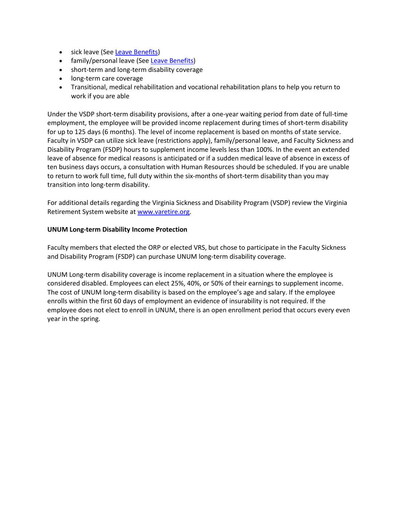- sick leave (See [Leave Benefits\)](https://www.jmu.edu/humanresources/handbooks/ap-faculty/leave.shtml#sick-leave)
- family/personal leave (See [Leave Benefits\)](https://www.jmu.edu/humanresources/handbooks/ap-faculty/leave.shtml#family-leave)
- short-term and long-term disability coverage
- long-term care coverage
- Transitional, medical rehabilitation and vocational rehabilitation plans to help you return to work if you are able

Under the VSDP short-term disability provisions, after a one-year waiting period from date of full-time employment, the employee will be provided income replacement during times of short-term disability for up to 125 days (6 months). The level of income replacement is based on months of state service. Faculty in VSDP can utilize sick leave (restrictions apply), family/personal leave, and Faculty Sickness and Disability Program (FSDP) hours to supplement income levels less than 100%. In the event an extended leave of absence for medical reasons is anticipated or if a sudden medical leave of absence in excess of ten business days occurs, a consultation with Human Resources should be scheduled. If you are unable to return to work full time, full duty within the six-months of short-term disability than you may transition into long-term disability.

For additional details regarding the Virginia Sickness and Disability Program (VSDP) review the Virginia Retirement System website at [www.varetire.org.](http://www.varetire.org/)

#### **UNUM Long-term Disability Income Protection**

Faculty members that elected the ORP or elected VRS, but chose to participate in the Faculty Sickness and Disability Program (FSDP) can purchase UNUM long-term disability coverage.

UNUM Long-term disability coverage is income replacement in a situation where the employee is considered disabled. Employees can elect 25%, 40%, or 50% of their earnings to supplement income. The cost of UNUM long-term disability is based on the employee's age and salary. If the employee enrolls within the first 60 days of employment an evidence of insurability is not required. If the employee does not elect to enroll in UNUM, there is an open enrollment period that occurs every even year in the spring.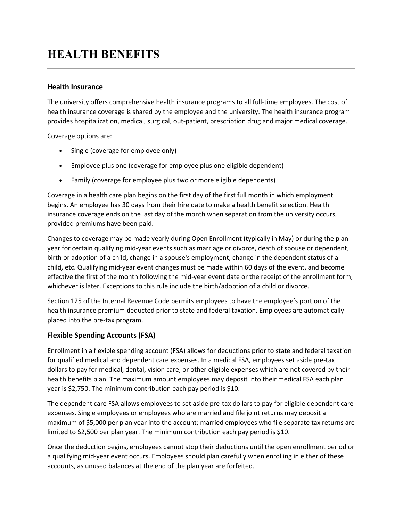# **HEALTH BENEFITS**

#### **Health Insurance**

The university offers comprehensive health insurance programs to all full-time employees. The cost of health insurance coverage is shared by the employee and the university. The health insurance program provides hospitalization, medical, surgical, out-patient, prescription drug and major medical coverage.

Coverage options are:

- Single (coverage for employee only)
- Employee plus one (coverage for employee plus one eligible dependent)
- Family (coverage for employee plus two or more eligible dependents)

Coverage in a health care plan begins on the first day of the first full month in which employment begins. An employee has 30 days from their hire date to make a health benefit selection. Health insurance coverage ends on the last day of the month when separation from the university occurs, provided premiums have been paid.

Changes to coverage may be made yearly during Open Enrollment (typically in May) or during the plan year for certain qualifying mid-year events such as marriage or divorce, death of spouse or dependent, birth or adoption of a child, change in a spouse's employment, change in the dependent status of a child, etc. Qualifying mid-year event changes must be made within 60 days of the event, and become effective the first of the month following the mid-year event date or the receipt of the enrollment form, whichever is later. Exceptions to this rule include the birth/adoption of a child or divorce.

Section 125 of the Internal Revenue Code permits employees to have the employee's portion of the health insurance premium deducted prior to state and federal taxation. Employees are automatically placed into the pre-tax program.

### **Flexible Spending Accounts (FSA)**

Enrollment in a flexible spending account (FSA) allows for deductions prior to state and federal taxation for qualified medical and dependent care expenses. In a medical FSA, employees set aside pre-tax dollars to pay for medical, dental, vision care, or other eligible expenses which are not covered by their health benefits plan. The maximum amount employees may deposit into their medical FSA each plan year is \$2,750. The minimum contribution each pay period is \$10.

The dependent care FSA allows employees to set aside pre-tax dollars to pay for eligible dependent care expenses. Single employees or employees who are married and file joint returns may deposit a maximum of \$5,000 per plan year into the account; married employees who file separate tax returns are limited to \$2,500 per plan year. The minimum contribution each pay period is \$10.

Once the deduction begins, employees cannot stop their deductions until the open enrollment period or a qualifying mid-year event occurs. Employees should plan carefully when enrolling in either of these accounts, as unused balances at the end of the plan year are forfeited.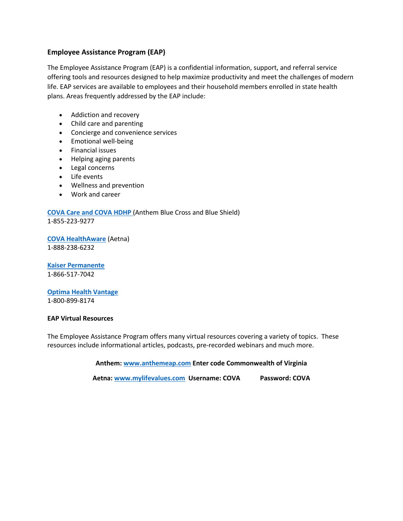### **Employee Assistance Program (EAP)**

The Employee Assistance Program (EAP) is a confidential information, support, and referral service offering tools and resources designed to help maximize productivity and meet the challenges of modern life. EAP services are available to employees and their household members enrolled in state health plans. Areas frequently addressed by the EAP include:

- Addiction and recovery
- Child care and parenting
- Concierge and convenience services
- Emotional well-being
- Financial issues
- Helping aging parents
- Legal concerns
- Life events
- Wellness and prevention
- Work and career

# **[COVA Care and COVA HDHP](https://www.anthem.com/docs/inline/cova_e236439.pdf)** (Anthem Blue Cross and Blue Shield)

1-855-223-9277

**[COVA HealthAware](https://www.covahealthaware.com/assets/pdfs/Commonwealth%20of%20Virginia%20EAP%20flyer.pdf)** (Aetna) 1-888-238-6232

**[Kaiser Permanente](https://my.kp.org/commonwealthofvirginia/)**  1-866-517-7042

**[Optima Health Vantage](https://www.optimahealth.com/group-pages/cova/eap)** 1-800-899-8174

#### **EAP Virtual Resources**

The Employee Assistance Program offers many virtual resources covering a variety of topics. These resources include informational articles, podcasts, pre-recorded webinars and much more.

**Anthem: [www.anthemeap.com](https://urldefense.proofpoint.com/v2/url?u=http-3A__www.anthemeap.com&d=DwMGaQ&c=eLbWYnpnzycBCgmb7vCI4uqNEB9RSjOdn_5nBEmmeq0&r=m4CDECa7NBymQ05wH4Hnlg&m=Kf0N5R-LtrWrkUs_7ZXDVmJqfT3TJ1cUnVca22TRztc&s=DmQ1p2F22iaIhruSU5EaXpSZuFbUzPWTTzsWRg0f3BQ&e=) Enter code Commonwealth of Virginia**

**Aetna[: www.mylifevalues.com](https://urldefense.proofpoint.com/v2/url?u=http-3A__www.mylifevalues.com_&d=DwMGaQ&c=eLbWYnpnzycBCgmb7vCI4uqNEB9RSjOdn_5nBEmmeq0&r=m4CDECa7NBymQ05wH4Hnlg&m=PsOeWhfgSUne29IuoJMaTRiL7xl27l-mT6t5Zbj1Zvw&s=agd0q5vHCcRrckyo8xoW7_zV4pbnsGup-H3B4KG-3bo&e=) Username: COVA Password: COVA**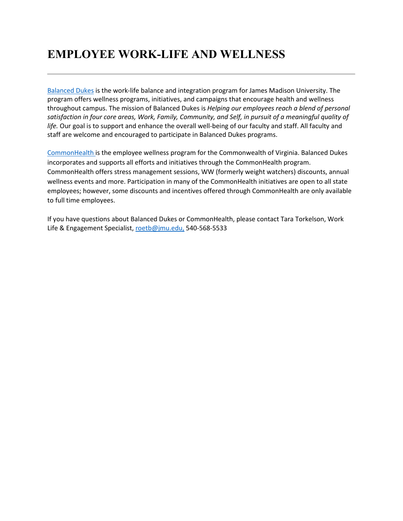# **EMPLOYEE WORK-LIFE AND WELLNESS**

[Balanced Dukes](https://www.jmu.edu/humanresources/balanced-dukes) is the work-life balance and integration program for James Madison University. The program offers wellness programs, initiatives, and campaigns that encourage health and wellness throughout campus. The mission of Balanced Dukes is *Helping our employees reach a blend of personal satisfaction in four core areas, Work, Family, Community, and Self, in pursuit of a meaningful quality of life.* Our goal is to support and enhance the overall well-being of our faculty and staff. All faculty and staff are welcome and encouraged to participate in Balanced Dukes programs.

[CommonHealth](https://www.jmu.edu/humanresources/benefits/commonhealth/index.shtml) is the employee wellness program for the Commonwealth of Virginia. Balanced Dukes incorporates and supports all efforts and initiatives through the CommonHealth program. CommonHealth offers stress management sessions, WW (formerly weight watchers) discounts, annual wellness events and more. Participation in many of the CommonHealth initiatives are open to all state employees; however, some discounts and incentives offered through CommonHealth are only available to full time employees.

If you have questions about Balanced Dukes or CommonHealth, please contact Tara Torkelson, Work Life & Engagement Specialist, [roetb@jmu.edu,](mailto:roetb@jmu.edu) 540-568-5533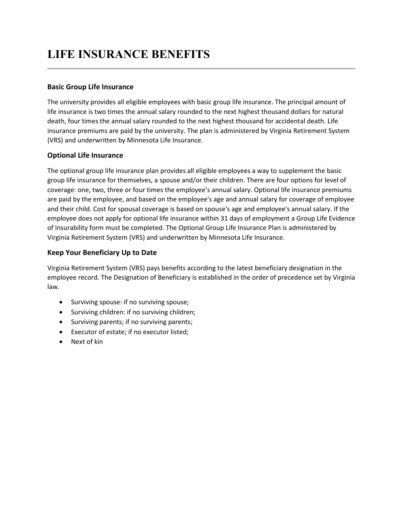# **LIFE INSURANCE BENEFITS**

# **Basic Group Life Insurance**

The university provides all eligible employees with basic group life insurance. The principal amount of life insurance is two times the annual salary rounded to the next highest thousand dollars for natural death, four times the annual salary rounded to the next highest thousand for accidental death. Life insurance premiums are paid by the university. The plan is administered by Virginia Retirement System (VRS) and underwritten by Minnesota Life Insurance.

# **Optional Life Insurance**

The optional group life insurance plan provides all eligible employees a way to supplement the basic group life insurance for themselves, a spouse and/or their children. There are four options for level of coverage: one, two, three or four times the employee's annual salary. Optional life insurance premiums are paid by the employee, and based on the employee's age and annual salary for coverage of employee and their child. Cost for spousal coverage is based on spouse's age and employee's annual salary. If the employee does not apply for optional life insurance within 31 days of employment a Group Life Evidence of Insurability form must be completed. The Optional Group Life Insurance Plan is administered by Virginia Retirement System (VRS) and underwritten by Minnesota Life Insurance.

# **Keep Your Beneficiary Up to Date**

Virginia Retirement System (VRS) pays benefits according to the latest beneficiary designation in the employee record. The Designation of Beneficiary is established in the order of precedence set by Virginia law.

- Surviving spouse: if no surviving spouse;
- Surviving children: if no surviving children;
- Surviving parents; if no surviving parents;
- Executor of estate; if no executor listed;
- Next of kin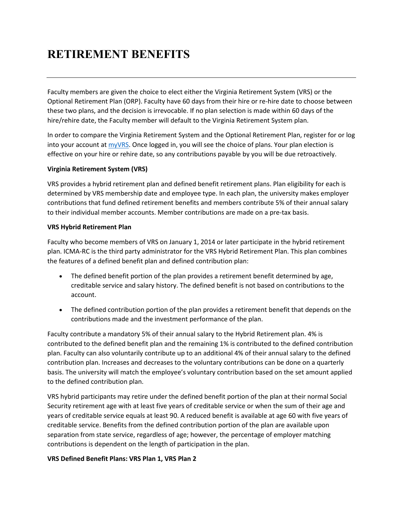# **RETIREMENT BENEFITS**

Faculty members are given the choice to elect either the Virginia Retirement System (VRS) or the Optional Retirement Plan (ORP). Faculty have 60 days from their hire or re-hire date to choose between these two plans, and the decision is irrevocable. If no plan selection is made within 60 days of the hire/rehire date, the Faculty member will default to the Virginia Retirement System plan.

In order to compare the Virginia Retirement System and the Optional Retirement Plan, register for or log into your account at [myVRS.](https://myvrs.varetire.org/login/) Once logged in, you will see the choice of plans. Your plan election is effective on your hire or rehire date, so any contributions payable by you will be due retroactively.

### **Virginia Retirement System (VRS)**

VRS provides a hybrid retirement plan and defined benefit retirement plans. Plan eligibility for each is determined by VRS membership date and employee type. In each plan, the university makes employer contributions that fund defined retirement benefits and members contribute 5% of their annual salary to their individual member accounts. Member contributions are made on a pre-tax basis.

#### **VRS Hybrid Retirement Plan**

Faculty who become members of VRS on January 1, 2014 or later participate in the hybrid retirement plan. ICMA-RC is the third party administrator for the VRS Hybrid Retirement Plan. This plan combines the features of a defined benefit plan and defined contribution plan:

- The defined benefit portion of the plan provides a retirement benefit determined by age, creditable service and salary history. The defined benefit is not based on contributions to the account.
- The defined contribution portion of the plan provides a retirement benefit that depends on the contributions made and the investment performance of the plan.

Faculty contribute a mandatory 5% of their annual salary to the Hybrid Retirement plan. 4% is contributed to the defined benefit plan and the remaining 1% is contributed to the defined contribution plan. Faculty can also voluntarily contribute up to an additional 4% of their annual salary to the defined contribution plan. Increases and decreases to the voluntary contributions can be done on a quarterly basis. The university will match the employee's voluntary contribution based on the set amount applied to the defined contribution plan.

VRS hybrid participants may retire under the defined benefit portion of the plan at their normal Social Security retirement age with at least five years of creditable service or when the sum of their age and years of creditable service equals at least 90. A reduced benefit is available at age 60 with five years of creditable service. Benefits from the defined contribution portion of the plan are available upon separation from state service, regardless of age; however, the percentage of employer matching contributions is dependent on the length of participation in the plan.

#### **VRS Defined Benefit Plans: VRS Plan 1, VRS Plan 2**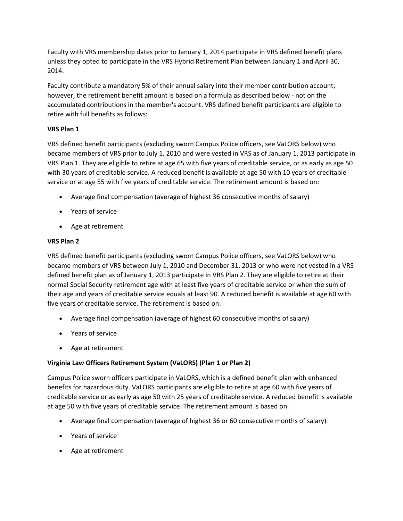Faculty with VRS membership dates prior to January 1, 2014 participate in VRS defined benefit plans unless they opted to participate in the VRS Hybrid Retirement Plan between January 1 and April 30, 2014.

Faculty contribute a mandatory 5% of their annual salary into their member contribution account; however, the retirement benefit amount is based on a formula as described below - not on the accumulated contributions in the member's account. VRS defined benefit participants are eligible to retire with full benefits as follows:

### **VRS Plan 1**

VRS defined benefit participants (excluding sworn Campus Police officers, see VaLORS below) who became members of VRS prior to July 1, 2010 and were vested in VRS as of January 1, 2013 participate in VRS Plan 1. They are eligible to retire at age 65 with five years of creditable service, or as early as age 50 with 30 years of creditable service. A reduced benefit is available at age 50 with 10 years of creditable service or at age 55 with five years of creditable service. The retirement amount is based on:

- Average final compensation (average of highest 36 consecutive months of salary)
- Years of service
- Age at retirement

#### **VRS Plan 2**

VRS defined benefit participants (excluding sworn Campus Police officers, see VaLORS below) who became members of VRS between July 1, 2010 and December 31, 2013 or who were not vested in a VRS defined benefit plan as of January 1, 2013 participate in VRS Plan 2. They are eligible to retire at their normal Social Security retirement age with at least five years of creditable service or when the sum of their age and years of creditable service equals at least 90. A reduced benefit is available at age 60 with five years of creditable service. The retirement is based on:

- Average final compensation (average of highest 60 consecutive months of salary)
- Years of service
- Age at retirement

### **Virginia Law Officers Retirement System (VaLORS) (Plan 1 or Plan 2)**

Campus Police sworn officers participate in VaLORS, which is a defined benefit plan with enhanced benefits for hazardous duty. VaLORS participants are eligible to retire at age 60 with five years of creditable service or as early as age 50 with 25 years of creditable service. A reduced benefit is available at age 50 with five years of creditable service. The retirement amount is based on:

- Average final compensation (average of highest 36 or 60 consecutive months of salary)
- Years of service
- Age at retirement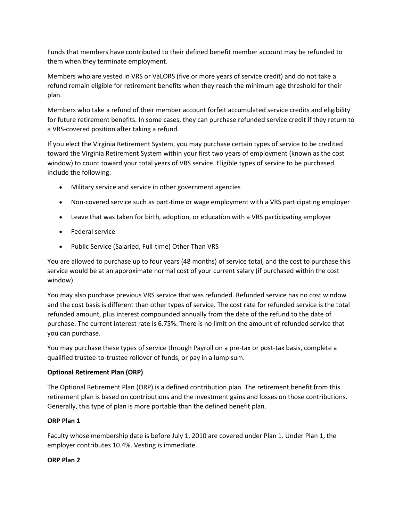Funds that members have contributed to their defined benefit member account may be refunded to them when they terminate employment.

Members who are vested in VRS or VaLORS (five or more years of service credit) and do not take a refund remain eligible for retirement benefits when they reach the minimum age threshold for their plan.

Members who take a refund of their member account forfeit accumulated service credits and eligibility for future retirement benefits. In some cases, they can purchase refunded service credit if they return to a VRS-covered position after taking a refund.

If you elect the Virginia Retirement System, you may purchase certain types of service to be credited toward the Virginia Retirement System within your first two years of employment (known as the cost window) to count toward your total years of VRS service. Eligible types of service to be purchased include the following:

- Military service and service in other government agencies
- Non-covered service such as part-time or wage employment with a VRS participating employer
- Leave that was taken for birth, adoption, or education with a VRS participating employer
- Federal service
- Public Service (Salaried, Full-time) Other Than VRS

You are allowed to purchase up to four years (48 months) of service total, and the cost to purchase this service would be at an approximate normal cost of your current salary (if purchased within the cost window).

You may also purchase previous VRS service that was refunded. Refunded service has no cost window and the cost basis is different than other types of service. The cost rate for refunded service is the total refunded amount, plus interest compounded annually from the date of the refund to the date of purchase. The current interest rate is 6.75%. There is no limit on the amount of refunded service that you can purchase.

You may purchase these types of service through Payroll on a pre-tax or post-tax basis, complete a qualified trustee-to-trustee rollover of funds, or pay in a lump sum.

#### **Optional Retirement Plan (ORP)**

The Optional Retirement Plan (ORP) is a defined contribution plan. The retirement benefit from this retirement plan is based on contributions and the investment gains and losses on those contributions. Generally, this type of plan is more portable than the defined benefit plan.

#### **ORP Plan 1**

Faculty whose membership date is before July 1, 2010 are covered under Plan 1. Under Plan 1, the employer contributes 10.4%. Vesting is immediate.

#### **ORP Plan 2**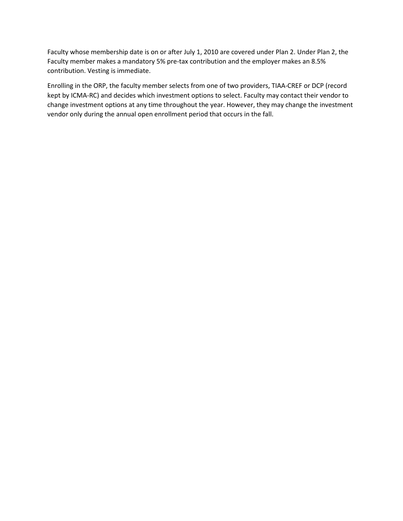Faculty whose membership date is on or after July 1, 2010 are covered under Plan 2. Under Plan 2, the Faculty member makes a mandatory 5% pre-tax contribution and the employer makes an 8.5% contribution. Vesting is immediate.

Enrolling in the ORP, the faculty member selects from one of two providers, TIAA-CREF or DCP (record kept by ICMA-RC) and decides which investment options to select. Faculty may contact their vendor to change investment options at any time throughout the year. However, they may change the investment vendor only during the annual open enrollment period that occurs in the fall.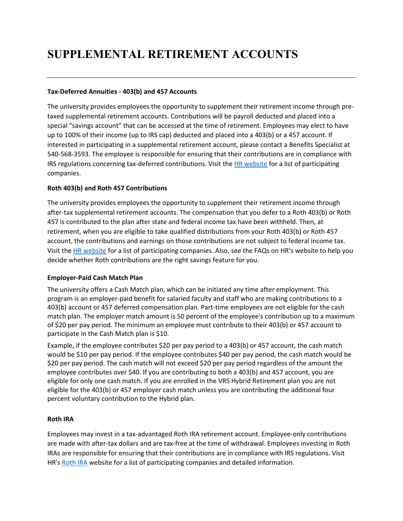# **SUPPLEMENTAL RETIREMENT ACCOUNTS**

#### **Tax-Deferred Annuities - 403(b) and 457 Accounts**

The university provides employees the opportunity to supplement their retirement income through pretaxed supplemental retirement accounts. Contributions will be payroll deducted and placed into a special "savings account" that can be accessed at the time of retirement. Employees may elect to have up to 100% of their income (up to IRS cap) deducted and placed into a 403(b) or a 457 account. If interested in participating in a supplemental retirement account, please contact a Benefits Specialist at 540-568-3593. The employee is responsible for ensuring that their contributions are in compliance with IRS regulations concerning tax-deferred contributions. Visit the HR [website](http://www.jmu.edu/humanresources/benefits/retirement/supplemental/index.shtml) for a list of participating companies.

### **Roth 403(b) and Roth 457 Contributions**

The university provides employees the opportunity to supplement their retirement income through after-tax supplemental retirement accounts. The compensation that you defer to a Roth 403(b) or Roth 457 is contributed to the plan after state and federal income tax have been withheld. Then, at retirement, when you are eligible to take qualified distributions from your Roth 403(b) or Roth 457 account, the contributions and earnings on those contributions are not subject to federal income tax. Visit the [HR website](http://www.jmu.edu/humanresources/benefits/retirement/supplemental/index.shtml) for a list of participating companies. Also, see the FAQs on HR's website to help you decide whether Roth contributions are the right savings feature for you.

#### **Employer-Paid Cash Match Plan**

The university offers a Cash Match plan, which can be initiated any time after employment. This program is an employer-paid benefit for salaried faculty and staff who are making contributions to a 403(b) account or 457 deferred compensation plan. Part-time employees are not eligible for the cash match plan. The employer match amount is 50 percent of the employee's contribution up to a maximum of \$20 per pay period. The minimum an employee must contribute to their 403(b) or 457 account to participate in the Cash Match plan is \$10.

Example, if the employee contributes \$20 per pay period to a 403(b) or 457 account, the cash match would be \$10 per pay period. If the employee contributes \$40 per pay period, the cash match would be \$20 per pay period. The cash match will not exceed \$20 per pay period regardless of the amount the employee contributes over \$40. If you are contributing to both a 403(b) and 457 account, you are eligible for only one cash match. If you are enrolled in the VRS Hybrid Retirement plan you are not eligible for the 403(b) or 457 employer cash match unless you are contributing the additional four percent voluntary contribution to the Hybrid plan.

#### **Roth IRA**

Employees may invest in a tax-advantaged Roth IRA retirement account. Employee-only contributions are made with after-tax dollars and are tax-free at the time of withdrawal. Employees investing in Roth IRAs are responsible for ensuring that their contributions are in compliance with IRS regulations. Visit HR's [Roth IRA](http://www.jmu.edu/humanresources/benefits/retirement/supplemental/index.shtml) website for a list of participating companies and detailed information.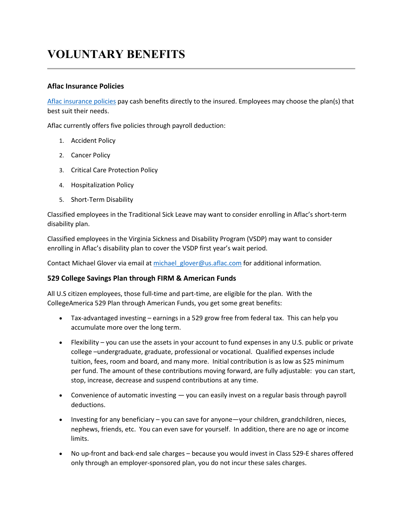# **VOLUNTARY BENEFITS**

### **Aflac Insurance Policies**

[Aflac insurance policies](http://www.jmu.edu/humanresources/benefits/aflac/index.shtml) pay cash benefits directly to the insured. Employees may choose the plan(s) that best suit their needs.

Aflac currently offers five policies through payroll deduction:

- 1. Accident Policy
- 2. Cancer Policy
- 3. Critical Care Protection Policy
- 4. Hospitalization Policy
- 5. Short-Term Disability

Classified employees in the Traditional Sick Leave may want to consider enrolling in Aflac's short-term disability plan.

Classified employees in the Virginia Sickness and Disability Program (VSDP) may want to consider enrolling in Aflac's disability plan to cover the VSDP first year's wait period.

Contact Michael Glover via email at michael glover@us.aflac.com for additional information.

#### **529 College Savings Plan through FIRM & American Funds**

All U.S citizen employees, those full-time and part-time, are eligible for the plan. With the CollegeAmerica 529 Plan through American Funds, you get some great benefits:

- Tax-advantaged investing earnings in a 529 grow free from federal tax. This can help you accumulate more over the long term.
- Flexibility you can use the assets in your account to fund expenses in any U.S. public or private college –undergraduate, graduate, professional or vocational. Qualified expenses include tuition, fees, room and board, and many more. Initial contribution is as low as \$25 minimum per fund. The amount of these contributions moving forward, are fully adjustable: you can start, stop, increase, decrease and suspend contributions at any time.
- Convenience of automatic investing  $-$  you can easily invest on a regular basis through payroll deductions.
- Investing for any beneficiary you can save for anyone—your children, grandchildren, nieces, nephews, friends, etc. You can even save for yourself. In addition, there are no age or income limits.
- No up-front and back-end sale charges because you would invest in Class 529-E shares offered only through an employer-sponsored plan, you do not incur these sales charges.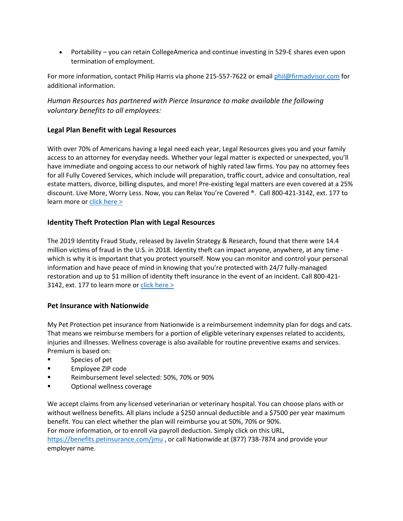• Portability – you can retain CollegeAmerica and continue investing in 529-E shares even upon termination of employment.

For more information, contact Philip Harris via phone 215-557-7622 or email [phil@firmadvisor.com](mailto:phil@firmadvisor.com) for additional information.

*Human Resources has partnered with Pierce Insurance to make available the following voluntary benefits to all employees:*

### **Legal Plan Benefit with Legal Resources**

With over 70% of Americans having a legal need each year, Legal Resources gives you and your family access to an attorney for everyday needs. Whether your legal matter is expected or unexpected, you'll have immediate and ongoing access to our network of highly rated law firms. You pay no attorney fees for all Fully Covered Services, which include will preparation, traffic court, advice and consultation, real estate matters, divorce, billing disputes, and more! Pre-existing legal matters are even covered at a 25% discount. Live More, Worry Less. Now, you can Relax You're Covered ®. Call 800-421-3142, ext. 177 to learn more or [click here >](https://pierceins.com/jmu/)

# **Identity Theft Protection Plan with Legal Resources**

The 2019 Identity Fraud Study, released by Javelin Strategy & Research, found that there were 14.4 million victims of fraud in the U.S. in 2018. Identity theft can impact anyone, anywhere, at any time which is why it is important that you protect yourself. Now you can monitor and control your personal information and have peace of mind in knowing that you're protected with 24/7 fully-managed restoration and up to \$1 million of identity theft insurance in the event of an incident. Call 800-421- 3142, ext. 177 to learn more or click here  $>$ 

### **Pet Insurance with Nationwide**

My Pet Protection pet insurance from Nationwide is a reimbursement indemnity plan for dogs and cats. That means we reimburse members for a portion of eligible veterinary expenses related to accidents, injuries and illnesses. Wellness coverage is also available for routine preventive exams and services. Premium is based on:

- **Species of pet**
- **Employee ZIP code**
- Reimbursement level selected: 50%, 70% or 90%
- **Example 3** Optional wellness coverage

We accept claims from any licensed veterinarian or veterinary hospital. You can choose plans with or without wellness benefits. All plans include a \$250 annual deductible and a \$7500 per year maximum benefit. You can elect whether the plan will reimburse you at 50%, 70% or 90%. For more information, or to enroll via payroll deduction. Simply click on this URL, <https://benefits.petinsurance.com/jmu> , or call Nationwide at (877) 738-7874 and provide your employer name.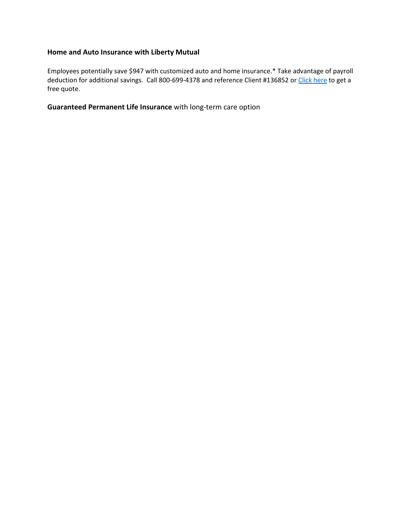# **Home and Auto Insurance with Liberty Mutual**

Employees potentially save \$947 with customized auto and home insurance.\* Take advantage of payroll deduction for additional savings. Call 800-699-4378 and reference Client #136852 or [Click here](https://www.libertymutual.com/jmu?selectedOpt=auto_home&src=aff_4wpb_m_0136852_jmu&MM_webID=0000124135) to get a free quote.

**Guaranteed Permanent Life Insurance** with long-term care option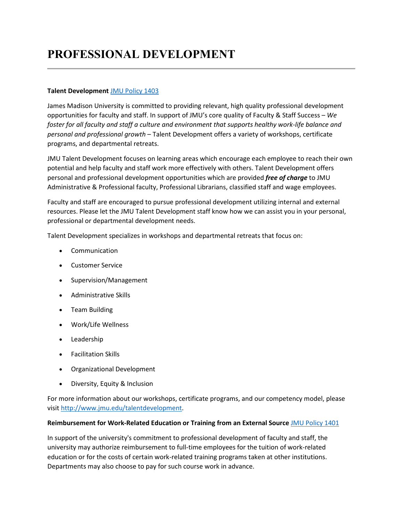# **PROFESSIONAL DEVELOPMENT**

#### **Talent Development** [JMU Policy 1403](http://www.jmu.edu/JMUpolicy/1403.shtml)

James Madison University is committed to providing relevant, high quality professional development opportunities for faculty and staff. In support of JMU's core quality of Faculty & Staff Success – *We foster for all faculty and staff a culture and environment that supports healthy work-life balance and personal and professional growth* – Talent Development offers a variety of workshops, certificate programs, and departmental retreats.

JMU Talent Development focuses on learning areas which encourage each employee to reach their own potential and help faculty and staff work more effectively with others. Talent Development offers personal and professional development opportunities which are provided *free of charge* to JMU Administrative & Professional faculty, Professional Librarians, classified staff and wage employees.

Faculty and staff are encouraged to pursue professional development utilizing internal and external resources. Please let the JMU Talent Development staff know how we can assist you in your personal, professional or departmental development needs.

Talent Development specializes in workshops and departmental retreats that focus on:

- **Communication**
- Customer Service
- Supervision/Management
- Administrative Skills
- Team Building
- Work/Life Wellness
- Leadership
- Facilitation Skills
- Organizational Development
- Diversity, Equity & Inclusion

For more information about our workshops, certificate programs, and our competency model, please visit [http://www.jmu.edu/talentdevelopment.](http://www.jmu.edu/talentdevelopment)

#### **Reimbursement for Work-Related Education or Training from an External Source** [JMU Policy 1401](http://www.jmu.edu/JMUpolicy/policies/1401.shtml)

In support of the university's commitment to professional development of faculty and staff, the university may authorize reimbursement to full-time employees for the tuition of work-related education or for the costs of certain work-related training programs taken at other institutions. Departments may also choose to pay for such course work in advance.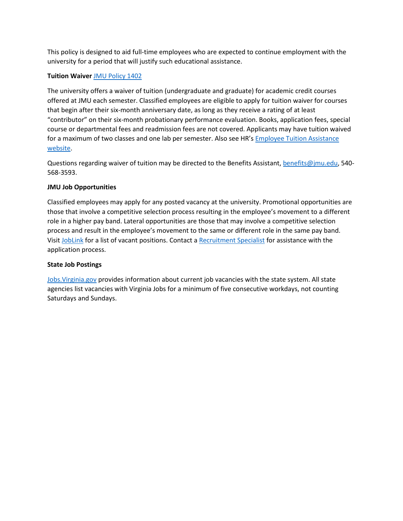This policy is designed to aid full-time employees who are expected to continue employment with the university for a period that will justify such educational assistance.

#### **Tuition Waiver** [JMU Policy 1402](http://www.jmu.edu/JMUpolicy/1402.shtml)

The university offers a waiver of tuition (undergraduate and graduate) for academic credit courses offered at JMU each semester. Classified employees are eligible to apply for tuition waiver for courses that begin after their six-month anniversary date, as long as they receive a rating of at least "contributor" on their six-month probationary performance evaluation. Books, application fees, special course or departmental fees and readmission fees are not covered. Applicants may have tuition waived for a maximum of two classes and one lab per semester. Also see HR's [Employee Tuition Assistance](http://www.jmu.edu/humanresources/benefits/tuition-assistance/index.shtml)  [website.](http://www.jmu.edu/humanresources/benefits/tuition-assistance/index.shtml)

Questions regarding waiver of tuition may be directed to the Benefits Assistant, [benefits@jmu.edu,](mailto:benefits@jmu.edu) 540-568-3593.

#### **JMU Job Opportunities**

Classified employees may apply for any posted vacancy at the university. Promotional opportunities are those that involve a competitive selection process resulting in the employee's movement to a different role in a higher pay band. Lateral opportunities are those that may involve a competitive selection process and result in the employee's movement to the same or different role in the same pay band. Visit [JobLink](https://joblink.jmu.edu/) for a list of vacant positions. Contact a [Recruitment Specialist](http://www.jmu.edu/humanresources/recruitment/index.shtml) for assistance with the application process.

#### **State Job Postings**

[Jobs.Virginia.gov](http://jobs.virginia.gov/) provides information about current job vacancies with the state system. All state agencies list vacancies with Virginia Jobs for a minimum of five consecutive workdays, not counting Saturdays and Sundays.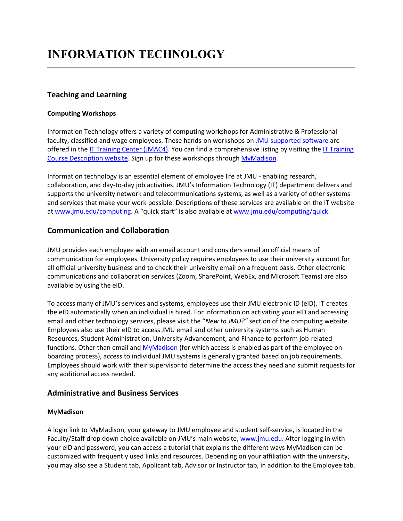# **Teaching and Learning**

#### **Computing Workshops**

Information Technology offers a variety of computing workshops for Administrative & Professional faculty, classified and wage employees. These hands-on workshops o[n JMU supported software](http://www.jmu.edu/computing/software/) are offered in the [IT Training Center \(JMAC4\).](https://www.jmu.edu/directory/buildings/JMA4.shtml) You can find a comprehensive listing by visiting th[e IT Training](http://www.jmu.edu/computing/training/it-workshops.shtml)  [Course Description website.](http://www.jmu.edu/computing/training/it-workshops.shtml) Sign up for these workshops throug[h MyMadison.](https://login.jmu.edu/)

Information technology is an essential element of employee life at JMU - enabling research, collaboration, and day-to-day job activities. JMU's Information Technology (IT) department delivers and supports the university network and telecommunications systems, as well as a variety of other systems and services that make your work possible. Descriptions of these services are available on the IT website at [www.jmu.edu/computing.](http://www.jmu.edu/computing/) A "quick start" is also available at [www.jmu.edu/computing/quick.](http://www.jmu.edu/computing/quick/faculty.shtml)

# **Communication and Collaboration**

JMU provides each employee with an email account and considers email an official means of communication for employees. University policy requires employees to use their university account for all official university business and to check their university email on a frequent basis. Other electronic communications and collaboration services (Zoom, SharePoint, WebEx, and Microsoft Teams) are also available by using the eID.

To access many of JMU's services and systems, employees use their JMU electronic ID (eID). IT creates the eID automatically when an individual is hired. For information on activating your eID and accessing email and other technology services, please visit the "*New to JMU?"* section of the computing website. Employees also use their eID to access JMU email and other university systems such as Human Resources, Student Administration, University Advancement, and Finance to perform job-related functions. Other than email and [MyMadison](https://mymadison.jmu.edu/) (for which access is enabled as part of the employee onboarding process), access to individual JMU systems is generally granted based on job requirements. Employees should work with their supervisor to determine the access they need and submit requests for any additional access needed.

### **Administrative and Business Services**

### **MyMadison**

A login link to MyMadison, your gateway to JMU employee and student self-service, is located in the Faculty/Staff drop down choice available on JMU's main website, [www.jmu.edu.](http://www.jmu.edu/) After logging in with your eID and password, you can access a tutorial that explains the different ways MyMadison can be customized with frequently used links and resources. Depending on your affiliation with the university, you may also see a Student tab, Applicant tab, Advisor or Instructor tab, in addition to the Employee tab.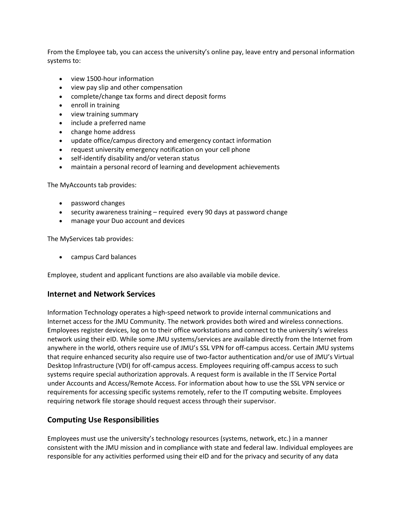From the Employee tab, you can access the university's online pay, leave entry and personal information systems to:

- view 1500-hour information
- view pay slip and other compensation
- complete/change tax forms and direct deposit forms
- enroll in training
- view training summary
- include a preferred name
- change home address
- update office/campus directory and emergency contact information
- request university emergency notification on your cell phone
- self-identify disability and/or veteran status
- maintain a personal record of learning and development achievements

The MyAccounts tab provides:

- password changes
- security awareness training required every 90 days at password change
- manage your Duo account and devices

The MyServices tab provides:

• campus Card balances

Employee, student and applicant functions are also available via mobile device.

#### **Internet and Network Services**

Information Technology operates a high-speed network to provide internal communications and Internet access for the JMU Community. The network provides both wired and wireless connections. Employees register devices, log on to their office workstations and connect to the university's wireless network using their eID. While some JMU systems/services are available directly from the Internet from anywhere in the world, others require use of JMU's SSL VPN for off-campus access. Certain JMU systems that require enhanced security also require use of two-factor authentication and/or use of JMU's Virtual Desktop Infrastructure (VDI) for off-campus access. Employees requiring off-campus access to such systems require special authorization approvals. A request form is available in the IT Service Portal under Accounts and Access/Remote Access. For information about how to use the SSL VPN service or requirements for accessing specific systems remotely, refer to the IT computing website. Employees requiring network file storage should request access through their supervisor.

# **Computing Use Responsibilities**

Employees must use the university's technology resources (systems, network, etc.) in a manner consistent with the JMU mission and in compliance with state and federal law. Individual employees are responsible for any activities performed using their eID and for the privacy and security of any data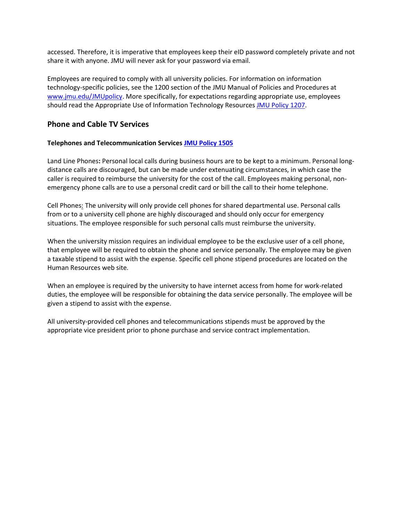accessed. Therefore, it is imperative that employees keep their eID password completely private and not share it with anyone. JMU will never ask for your password via email.

Employees are required to comply with all university policies. For information on information technology-specific policies, see the 1200 section of the JMU Manual of Policies and Procedures at [www.jmu.edu/JMUpolicy.](http://www.jmu.edu/JMUpolicy/) More specifically, for expectations regarding appropriate use, employees should read the Appropriate Use of Information Technology Resources [JMU Policy 1207.](https://www.jmu.edu/JMUpolicy/policies/1207.shtml)

# **Phone and Cable TV Services**

#### **Telephones and Telecommunication Service[s JMU Policy 1505](http://www.jmu.edu/JMUpolicy/1505.shtml)**

Land Line Phones**:** Personal local calls during business hours are to be kept to a minimum. Personal longdistance calls are discouraged, but can be made under extenuating circumstances, in which case the caller is required to reimburse the university for the cost of the call. Employees making personal, nonemergency phone calls are to use a personal credit card or bill the call to their home telephone.

Cell Phones: The university will only provide cell phones for shared departmental use. Personal calls from or to a university cell phone are highly discouraged and should only occur for emergency situations. The employee responsible for such personal calls must reimburse the university.

When the university mission requires an individual employee to be the exclusive user of a cell phone, that employee will be required to obtain the phone and service personally. The employee may be given a taxable stipend to assist with the expense. Specific cell phone stipend procedures are located on the Human Resources web site.

When an employee is required by the university to have internet access from home for work-related duties, the employee will be responsible for obtaining the data service personally. The employee will be given a stipend to assist with the expense.

All university-provided cell phones and telecommunications stipends must be approved by the appropriate vice president prior to phone purchase and service contract implementation.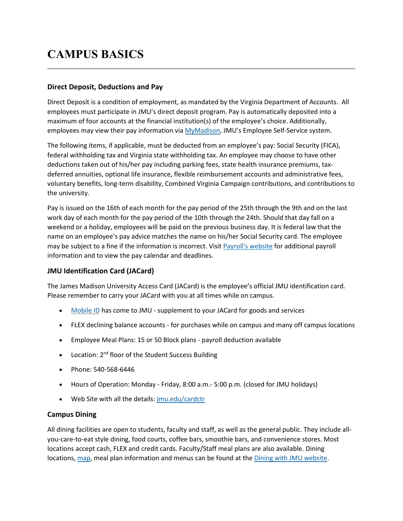# **CAMPUS BASICS**

### **Direct Deposit, Deductions and Pay**

Direct Deposit is a condition of employment, as mandated by the Virginia Department of Accounts. All employees must participate in JMU's direct deposit program. Pay is automatically deposited into a maximum of four accounts at the financial institution(s) of the employee's choice. Additionally, employees may view their pay information via [MyMadison,](https://mymadison.jmu.edu/) JMU's Employee Self-Service system.

The following items, if applicable, must be deducted from an employee's pay: Social Security (FICA), federal withholding tax and Virginia state withholding tax. An employee may choose to have other deductions taken out of his/her pay including parking fees, state health insurance premiums, taxdeferred annuities, optional life insurance, flexible reimbursement accounts and administrative fees, voluntary benefits, long-term disability, Combined Virginia Campaign contributions, and contributions to the university.

Pay is issued on the 16th of each month for the pay period of the 25th through the 9th and on the last work day of each month for the pay period of the 10th through the 24th. Should that day fall on a weekend or a holiday, employees will be paid on the previous business day. It is federal law that the name on an employee's pay advice matches the name on his/her Social Security card. The employee may be subject to a fine if the information is incorrect. Visit [Payroll's website](http://www.jmu.edu/financeoffice/accounting-operations-disbursements/payroll/index.shtml) for additional payroll information and to view the pay calendar and deadlines.

# **JMU Identification Card (JACard)**

The James Madison University Access Card (JACard) is the employee's official JMU identification card. Please remember to carry your JACard with you at all times while on campus.

- [Mobile ID](http://www.jmu.edu/cardctr/_files/Mobile_ID_Flyer.pdf) has come to JMU supplement to your JACard for goods and services
- FLEX declining balance accounts for purchases while on campus and many off campus locations
- Employee Meal Plans: 15 or 50 Block plans payroll deduction available
- Location: 2<sup>nd</sup> floor of the Student Success Building
- Phone: 540-568-6446
- Hours of Operation: Monday Friday, 8:00 a.m.- 5:00 p.m. (closed for JMU holidays)
- Web Site with all the details: [jmu.edu/cardctr](http://www.jmu.edu/cardctr)

### **Campus Dining**

All dining facilities are open to students, faculty and staff, as well as the general public. They include allyou-care-to-eat style dining, food courts, coffee bars, smoothie bars, and convenience stores. Most locations accept cash, FLEX and credit cards. Faculty/Staff meal plans are also available. Dining locations, [map,](http://jmu.campusdish.com/Locations.aspx) meal plan information and menus can be found at the [Dining with JMU website.](http://jmu.campusdish.com/)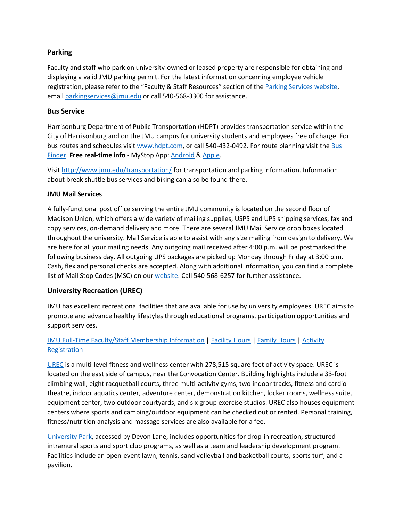### **Parking**

Faculty and staff who park on university-owned or leased property are responsible for obtaining and displaying a valid JMU parking permit. For the latest information concerning employee vehicle registration, please refer to the "Faculty & Staff Resources" section of the [Parking Services website,](http://www.jmu.edu/parking) email [parkingservices@jmu.edu](mailto:parkingservices@jmu.edu) or call 540-568-3300 for assistance.

#### **Bus Service**

Harrisonburg Department of Public Transportation (HDPT) provides transportation service within the City of Harrisonburg and on the JMU campus for university students and employees free of charge. For bus routes and schedules visit [www.hdpt.com,](http://www.hdpt.com/) or call 540-432-0492. For route planning visit the [Bus](http://www.jmu.edu/navigatejmu/busfinder/)  [Finder.](http://www.jmu.edu/navigatejmu/busfinder/) **Free real-time info -** MyStop App: [Android](https://play.google.com/store/apps/details?id=com.AvailTec.MyStop&hl=en) & [Apple.](https://itunes.apple.com/us/app/mystop-mobile/id591959423?mt=8)

Visit <http://www.jmu.edu/transportation/> for transportation and parking information. Information about break shuttle bus services and biking can also be found there.

#### **JMU Mail Services**

A fully-functional post office serving the entire JMU community is located on the second floor of Madison Union, which offers a wide variety of mailing supplies, USPS and UPS shipping services, fax and copy services, on-demand delivery and more. There are several JMU Mail Service drop boxes located throughout the university. Mail Service is able to assist with any size mailing from design to delivery. We are here for all your mailing needs. Any outgoing mail received after 4:00 p.m. will be postmarked the following business day. All outgoing UPS packages are picked up Monday through Friday at 3:00 p.m. Cash, flex and personal checks are accepted. Along with additional information, you can find a complete list of Mail Stop Codes (MSC) on our [website.](http://www.jmu.edu/mailservices) Call 540-568-6257 for further assistance.

### **University Recreation (UREC)**

JMU has excellent recreational facilities that are available for use by university employees. UREC aims to promote and advance healthy lifestyles through educational programs, participation opportunities and support services.

# [JMU Full-Time Faculty/Staff Membership Information](https://www.jmu.edu/recreation/visit/memberships.shtml#full-time-staff) | [Facility Hours](https://www.jmu.edu/recreation/visit/urec-hours.shtml) | [Family Hours](https://www.jmu.edu/recreation/visit/family-hours.shtml) | [Activity](https://www.jmu.edu/recreation/register/index.shtml) [Registration](https://www.jmu.edu/recreation/register/index.shtml)

[UREC](https://www.jmu.edu/recreation/visit/facilities/urec/index.shtml) is a multi-level fitness and wellness center with 278,515 square feet of activity space. UREC is located on the east side of campus, near the Convocation Center. Building highlights include a 33-foot climbing wall, eight racquetball courts, three multi-activity gyms, two indoor tracks, fitness and cardio theatre, indoor aquatics center, adventure center, demonstration kitchen, locker rooms, wellness suite, equipment center, two outdoor courtyards, and six group exercise studios. UREC also houses equipment centers where sports and camping/outdoor equipment can be checked out or rented. Personal training, fitness/nutrition analysis and massage services are also available for a fee.

[University Park,](https://www.jmu.edu/recreation/visit/facilities/university-park/index.shtml) accessed by Devon Lane, includes opportunities for drop-in recreation, structured intramural sports and sport club programs, as well as a team and leadership development program. Facilities include an open-event lawn, tennis, sand volleyball and basketball courts, sports turf, and a pavilion.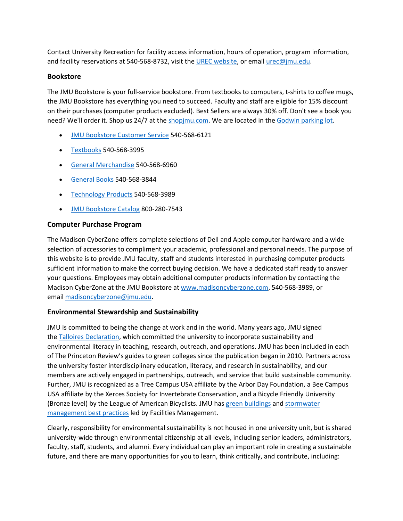Contact University Recreation for facility access information, hours of operation, program information, and facility reservations at 540-568-8732, visit the [UREC website,](http://www.jmu.edu/recreation/) or emai[l urec@jmu.edu.](mailto:urec@jmu.edu)

#### **Bookstore**

The JMU Bookstore is your full-service bookstore. From textbooks to computers, t-shirts to coffee mugs, the JMU Bookstore has everything you need to succeed. Faculty and staff are eligible for 15% discount on their purchases (computer products excluded). Best Sellers are always 30% off. Don't see a book you need? We'll order it. Shop us 24/7 at the [shopjmu.com.](https://www.bkstr.com/jamesmadisonstore/home) We are located in the [Godwin parking lot.](https://www.jmu.edu/directory/buildings/BOOK.shtml)

- [JMU Bookstore Customer Service](mailto:jmubcs@jmu.edu) 540-568-6121
- [Textbooks](mailto:textbooks@jmu.edu) 540-568-3995
- [General Merchandise](mailto:JMUBmerchandise@jmu.edu) 540-568-6960
- [General Books](mailto:JMUBgeneralbook@jmu.edu) 540-568-3844
- [Technology](mailto:jmu_computers@jmu.edu) Products 540-568-3989
- [JMU Bookstore Catalog](mailto:jmubcatalog@jmu.edu) 800-280-7543

### **Computer Purchase Program**

The Madison CyberZone offers complete selections of Dell and Apple computer hardware and a wide selection of accessories to compliment your academic, professional and personal needs. The purpose of this website is to provide JMU faculty, staff and students interested in purchasing computer products sufficient information to make the correct buying decision. We have a dedicated staff ready to answer your questions. Employees may obtain additional computer products information by contacting the Madison CyberZone at the JMU Bookstore at [www.madisoncyberzone.com,](http://www.madisoncyberzone.com/) 540-568-3989, or email [madisoncyberzone@jmu.edu.](mailto:madisoncyberzone@jmu.edu)

### **Environmental Stewardship and Sustainability**

JMU is committed to being the change at work and in the world. Many years ago, JMU signed the [Talloires Declaration,](https://www.jmu.edu/stewardship/plans-policies-commitments.shtml) which committed the university to incorporate sustainability and environmental literacy in teaching, research, outreach, and operations. JMU has been included in each of The Princeton Review's guides to green colleges since the publication began in 2010. Partners across the university foster interdisciplinary education, literacy, and research in sustainability, and our members are actively engaged in partnerships, outreach, and service that build sustainable community. Further, JMU is recognized as a Tree Campus USA affiliate by the Arbor Day Foundation, a Bee Campus USA affiliate by the Xerces Society for Invertebrate Conservation, and a Bicycle Friendly University (Bronze level) by the League of American Bicyclists. JMU has [green buildings](https://www.jmu.edu/facmgt/sustainability/leed.shtml) and [stormwater](https://www.jmu.edu/facmgt/sustainability/Stormwater/index.shtml)  [management best practices](https://www.jmu.edu/facmgt/sustainability/Stormwater/index.shtml) led by Facilities Management.

Clearly, responsibility for environmental sustainability is not housed in one university unit, but is shared university-wide through environmental citizenship at all levels, including senior leaders, administrators, faculty, staff, students, and alumni. Every individual can play an important role in creating a sustainable future, and there are many opportunities for you to learn, think critically, and contribute, including: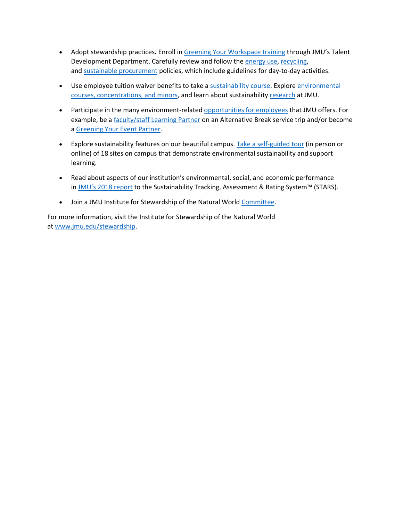- Adopt stewardship practices**.** Enroll in [Greening Your Workspace training](https://www.jmu.edu/stewardship/GYO2.shtml) through JMU's Talent Development Department. Carefully review and follow the [energy use,](https://www.jmu.edu/JMUpolicy/policies/1704.shtml) [recycling,](https://www.jmu.edu/JMUpolicy/policies/4305.shtml) and [sustainable procurement](https://www.jmu.edu/JMUpolicy/policies/1701.shtml) policies, which include guidelines for day-to-day activities.
- Use employee tuition waiver benefits to take a [sustainability course.](https://www.jmu.edu/stewardship/curriculum.shtml) Explore environmental [courses, concentrations,](http://www.jmu.edu/environment/) and minors, and learn about sustainability [research](https://www.jmu.edu/stewardship/sustainability-research.shtml) at JMU.
- Participate in the many environment-related [opportunities for employees](https://www.jmu.edu/stewardship/resources-for-employees.shtml) that JMU offers. For example, be a [faculty/staff Learning Partner](https://www.jmu.edu/abp/participate/learning-partner.shtml) on an Alternative Break service trip and/or become a [Greening Your Event Partner.](https://www.jmu.edu/stewardship/greenyourevent.shtml)
- Explore sustainability features on our beautiful campus. [Take a self-guided tour](http://www.jmu.edu/stewardship/tour/index.shtml) (in person or online) of 18 sites on campus that demonstrate environmental sustainability and support learning.
- Read about aspects of our institution's environmental, social, and economic performance in [JMU's 2018 report](https://stars.aashe.org/institutions/james-madison-university-va/report/) to the Sustainability Tracking, Assessment & Rating System™ (STARS).
- Join a JMU Institute for Stewardship of the Natural World [Committee.](https://www.jmu.edu/stewardship/stewardship-overview.shtml)

For more information, visit the Institute for Stewardship of the Natural World at [www.jmu.edu/stewardship.](http://www.jmu.edu/stewardship)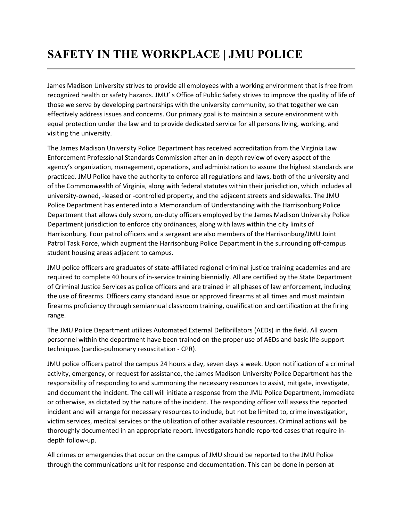# **SAFETY IN THE WORKPLACE | JMU POLICE**

James Madison University strives to provide all employees with a working environment that is free from recognized health or safety hazards. JMU' s Office of Public Safety strives to improve the quality of life of those we serve by developing partnerships with the university community, so that together we can effectively address issues and concerns. Our primary goal is to maintain a secure environment with equal protection under the law and to provide dedicated service for all persons living, working, and visiting the university.

The James Madison University Police Department has received accreditation from the Virginia Law Enforcement Professional Standards Commission after an in-depth review of every aspect of the agency's organization, management, operations, and administration to assure the highest standards are practiced. JMU Police have the authority to enforce all regulations and laws, both of the university and of the Commonwealth of Virginia, along with federal statutes within their jurisdiction, which includes all university-owned, -leased or -controlled property, and the adjacent streets and sidewalks. The JMU Police Department has entered into a Memorandum of Understanding with the Harrisonburg Police Department that allows duly sworn, on-duty officers employed by the James Madison University Police Department jurisdiction to enforce city ordinances, along with laws within the city limits of Harrisonburg. Four patrol officers and a sergeant are also members of the Harrisonburg/JMU Joint Patrol Task Force, which augment the Harrisonburg Police Department in the surrounding off-campus student housing areas adjacent to campus.

JMU police officers are graduates of state-affiliated regional criminal justice training academies and are required to complete 40 hours of in-service training biennially. All are certified by the State Department of Criminal Justice Services as police officers and are trained in all phases of law enforcement, including the use of firearms. Officers carry standard issue or approved firearms at all times and must maintain firearms proficiency through semiannual classroom training, qualification and certification at the firing range.

The JMU Police Department utilizes Automated External Defibrillators (AEDs) in the field. All sworn personnel within the department have been trained on the proper use of AEDs and basic life-support techniques (cardio-pulmonary resuscitation - CPR).

JMU police officers patrol the campus 24 hours a day, seven days a week. Upon notification of a criminal activity, emergency, or request for assistance, the James Madison University Police Department has the responsibility of responding to and summoning the necessary resources to assist, mitigate, investigate, and document the incident. The call will initiate a response from the JMU Police Department, immediate or otherwise, as dictated by the nature of the incident. The responding officer will assess the reported incident and will arrange for necessary resources to include, but not be limited to, crime investigation, victim services, medical services or the utilization of other available resources. Criminal actions will be thoroughly documented in an appropriate report. Investigators handle reported cases that require indepth follow-up.

All crimes or emergencies that occur on the campus of JMU should be reported to the JMU Police through the communications unit for response and documentation. This can be done in person at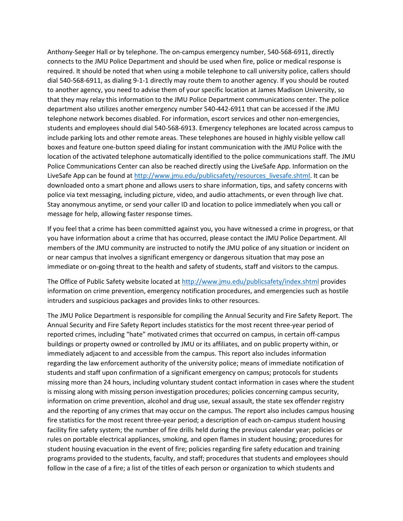Anthony-Seeger Hall or by telephone. The on-campus emergency number, 540-568-6911, directly connects to the JMU Police Department and should be used when fire, police or medical response is required. It should be noted that when using a mobile telephone to call university police, callers should dial 540-568-6911, as dialing 9-1-1 directly may route them to another agency. If you should be routed to another agency, you need to advise them of your specific location at James Madison University, so that they may relay this information to the JMU Police Department communications center. The police department also utilizes another emergency number 540-442-6911 that can be accessed if the JMU telephone network becomes disabled. For information, escort services and other non-emergencies, students and employees should dial 540-568-6913. Emergency telephones are located across campus to include parking lots and other remote areas. These telephones are housed in highly visible yellow call boxes and feature one-button speed dialing for instant communication with the JMU Police with the location of the activated telephone automatically identified to the police communications staff. The JMU Police Communications Center can also be reached directly using the LiveSafe App. Information on the LiveSafe App can be found at [http://www.jmu.edu/publicsafety/resources\\_livesafe.shtml.](http://www.jmu.edu/publicsafety/resources_livesafe.shtml) It can be downloaded onto a smart phone and allows users to share information, tips, and safety concerns with police via text messaging, including picture, video, and audio attachments, or even through live chat. Stay anonymous anytime, or send your caller ID and location to police immediately when you call or message for help, allowing faster response times.

If you feel that a crime has been committed against you, you have witnessed a crime in progress, or that you have information about a crime that has occurred, please contact the JMU Police Department. All members of the JMU community are instructed to notify the JMU police of any situation or incident on or near campus that involves a significant emergency or dangerous situation that may pose an immediate or on-going threat to the health and safety of students, staff and visitors to the campus.

The Office of Public Safety website located at <http://www.jmu.edu/publicsafety/index.shtml> provides information on crime prevention, emergency notification procedures, and emergencies such as hostile intruders and suspicious packages and provides links to other resources.

The JMU Police Department is responsible for compiling the Annual Security and Fire Safety Report. The Annual Security and Fire Safety Report includes statistics for the most recent three-year period of reported crimes, including "hate" motivated crimes that occurred on campus, in certain off-campus buildings or property owned or controlled by JMU or its affiliates, and on public property within, or immediately adjacent to and accessible from the campus. This report also includes information regarding the law enforcement authority of the university police; means of immediate notification of students and staff upon confirmation of a significant emergency on campus; protocols for students missing more than 24 hours, including voluntary student contact information in cases where the student is missing along with missing person investigation procedures; policies concerning campus security, information on crime prevention, alcohol and drug use, sexual assault, the state sex offender registry and the reporting of any crimes that may occur on the campus. The report also includes campus housing fire statistics for the most recent three-year period; a description of each on-campus student housing facility fire safety system; the number of fire drills held during the previous calendar year; policies or rules on portable electrical appliances, smoking, and open flames in student housing; procedures for student housing evacuation in the event of fire; policies regarding fire safety education and training programs provided to the students, faculty, and staff; procedures that students and employees should follow in the case of a fire; a list of the titles of each person or organization to which students and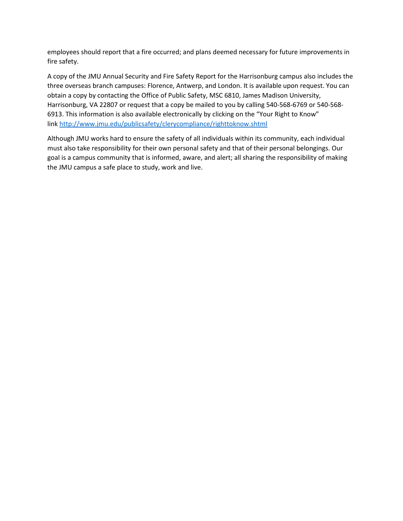employees should report that a fire occurred; and plans deemed necessary for future improvements in fire safety.

A copy of the JMU Annual Security and Fire Safety Report for the Harrisonburg campus also includes the three overseas branch campuses: Florence, Antwerp, and London. It is available upon request. You can obtain a copy by contacting the Office of Public Safety, MSC 6810, James Madison University, Harrisonburg, VA 22807 or request that a copy be mailed to you by calling 540-568-6769 or 540-568- 6913. This information is also available electronically by clicking on the "Your Right to Know" link <http://www.jmu.edu/publicsafety/clerycompliance/righttoknow.shtml>

Although JMU works hard to ensure the safety of all individuals within its community, each individual must also take responsibility for their own personal safety and that of their personal belongings. Our goal is a campus community that is informed, aware, and alert; all sharing the responsibility of making the JMU campus a safe place to study, work and live.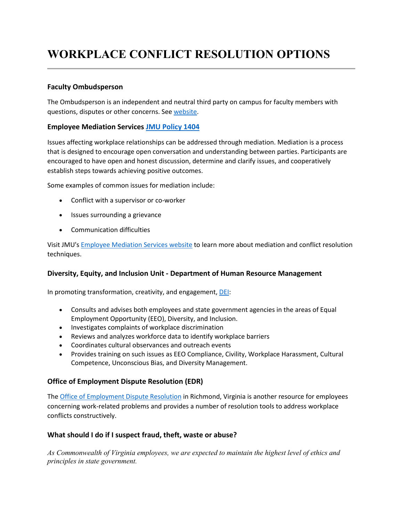# **WORKPLACE CONFLICT RESOLUTION OPTIONS**

### **Faculty Ombudsperson**

The Ombudsperson is an independent and neutral third party on campus for faculty members with questions, disputes or other concerns. See [website.](https://www.jmu.edu/academic-affairs/faculty-ombudsperson/index.shtml#Ombuds)

### **Employee Mediation Services [JMU Policy 1404](http://www.jmu.edu/JMUpolicy/1404.shtml)**

Issues affecting workplace relationships can be addressed through mediation. Mediation is a process that is designed to encourage open conversation and understanding between parties. Participants are encouraged to have open and honest discussion, determine and clarify issues, and cooperatively establish steps towards achieving positive outcomes.

Some examples of common issues for mediation include:

- Conflict with a supervisor or co-worker
- Issues surrounding a grievance
- Communication difficulties

Visit JMU's [Employee Mediation Services website](http://www.jmu.edu/humanresources/hrc/mediation/index.shtml) to learn more about mediation and conflict resolution techniques.

### **Diversity, Equity, and Inclusion Unit - Department of Human Resource Management**

In promoting transformation, creativity, and engagement, [DEI:](https://www.dhrm.virginia.gov/diversity-equity-inclusion)

- Consults and advises both employees and state government agencies in the areas of Equal Employment Opportunity (EEO), Diversity, and Inclusion.
- Investigates complaints of workplace discrimination
- Reviews and analyzes workforce data to identify workplace barriers
- Coordinates cultural observances and outreach events
- Provides training on such issues as EEO Compliance, Civility, Workplace Harassment, Cultural Competence, Unconscious Bias, and Diversity Management.

### **Office of Employment Dispute Resolution (EDR)**

The [Office of Employment Dispute Resolution](http://www.dhrm.virginia.gov/edr) in Richmond, Virginia is another resource for employees concerning work-related problems and provides a number of resolution tools to address workplace conflicts constructively.

### **What should I do if I suspect fraud, theft, waste or abuse?**

*As Commonwealth of Virginia employees, we are expected to maintain the highest level of ethics and principles in state government.*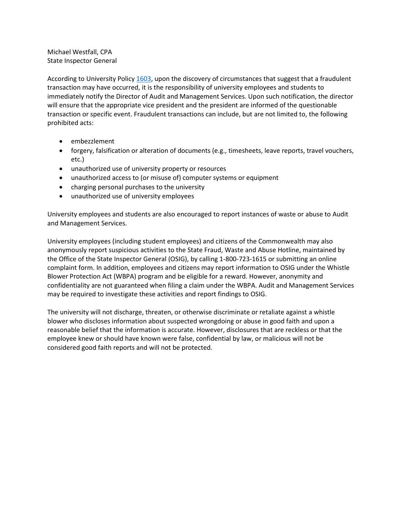Michael Westfall, CPA State Inspector General

According to University Policy [1603,](https://www.jmu.edu/JMUpolicy/policies/1603.shtml) upon the discovery of circumstances that suggest that a fraudulent transaction may have occurred, it is the responsibility of university employees and students to immediately notify the Director of Audit and Management Services. Upon such notification, the director will ensure that the appropriate vice president and the president are informed of the questionable transaction or specific event. Fraudulent transactions can include, but are not limited to, the following prohibited acts:

- embezzlement
- forgery, falsification or alteration of documents (e.g., timesheets, leave reports, travel vouchers, etc.)
- unauthorized use of university property or resources
- unauthorized access to (or misuse of) computer systems or equipment
- charging personal purchases to the university
- unauthorized use of university employees

University employees and students are also encouraged to report instances of waste or abuse to Audit and Management Services.

University employees (including student employees) and citizens of the Commonwealth may also anonymously report suspicious activities to the State Fraud, Waste and Abuse Hotline, maintained by the Office of the State Inspector General (OSIG), by calling 1-800-723-1615 or submitting an online complaint form. In addition, employees and citizens may report information to OSIG under the Whistle Blower Protection Act (WBPA) program and be eligible for a reward. However, anonymity and confidentiality are not guaranteed when filing a claim under the WBPA. Audit and Management Services may be required to investigate these activities and report findings to OSIG.

The university will not discharge, threaten, or otherwise discriminate or retaliate against a whistle blower who discloses information about suspected wrongdoing or abuse in good faith and upon a reasonable belief that the information is accurate. However, disclosures that are reckless or that the employee knew or should have known were false, confidential by law, or malicious will not be considered good faith reports and will not be protected.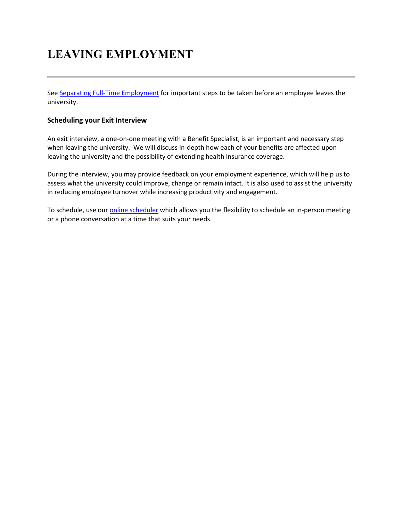# **LEAVING EMPLOYMENT**

See [Separating Full-Time Employment](https://www.jmu.edu/humanresources/benefits/separating-employment/full-time.shtml) for important steps to be taken before an employee leaves the university.

#### **Scheduling your Exit Interview**

An exit interview, a one-on-one meeting with a Benefit Specialist, is an important and necessary step when leaving the university. We will discuss in-depth how each of your benefits are affected upon leaving the university and the possibility of extending health insurance coverage.

During the interview, you may provide feedback on your employment experience, which will help us to assess what the university could improve, change or remain intact. It is also used to assist the university in reducing employee turnover while increasing productivity and engagement.

To schedule, use ou[r online scheduler](https://jamesmadisonuniversity.fullslate.com/) which allows you the flexibility to schedule an in-person meeting or a phone conversation at a time that suits your needs.